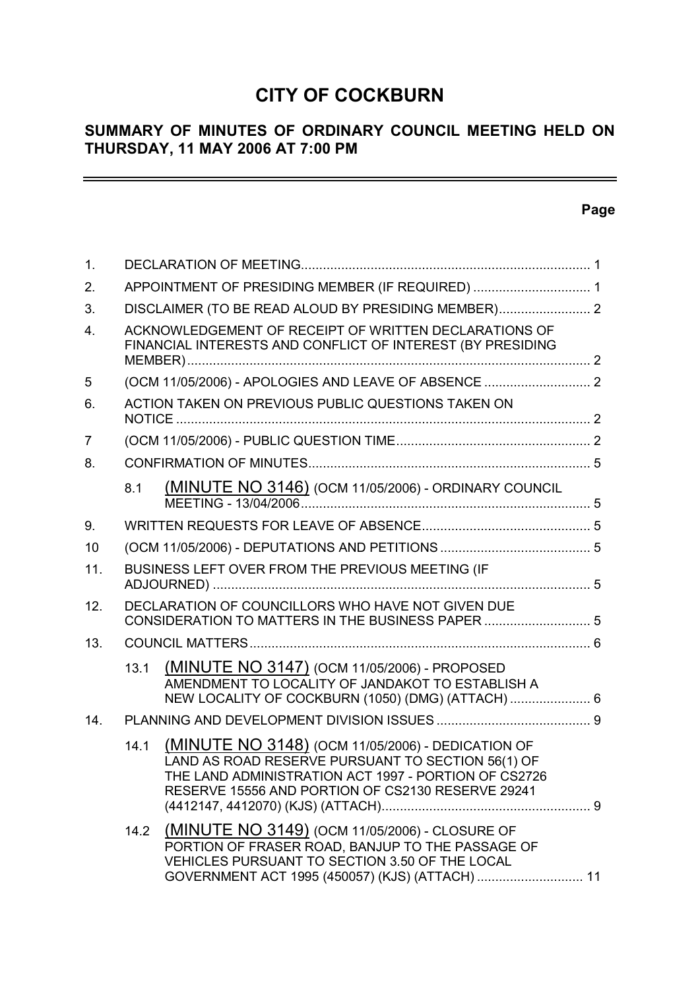# **CITY OF COCKBURN**

# **SUMMARY OF MINUTES OF ORDINARY COUNCIL MEETING HELD ON THURSDAY, 11 MAY 2006 AT 7:00 PM**

# **Page**

 $\equiv$ 

| 1.               |                                                  |                                                                                                                                                                                                                     |  |  |  |  |  |  |
|------------------|--------------------------------------------------|---------------------------------------------------------------------------------------------------------------------------------------------------------------------------------------------------------------------|--|--|--|--|--|--|
| 2.               | APPOINTMENT OF PRESIDING MEMBER (IF REQUIRED)  1 |                                                                                                                                                                                                                     |  |  |  |  |  |  |
| 3.               |                                                  |                                                                                                                                                                                                                     |  |  |  |  |  |  |
| $\overline{4}$ . |                                                  | ACKNOWLEDGEMENT OF RECEIPT OF WRITTEN DECLARATIONS OF<br>FINANCIAL INTERESTS AND CONFLICT OF INTEREST (BY PRESIDING                                                                                                 |  |  |  |  |  |  |
| 5                |                                                  |                                                                                                                                                                                                                     |  |  |  |  |  |  |
| 6.               |                                                  | ACTION TAKEN ON PREVIOUS PUBLIC QUESTIONS TAKEN ON                                                                                                                                                                  |  |  |  |  |  |  |
| $\overline{7}$   |                                                  |                                                                                                                                                                                                                     |  |  |  |  |  |  |
| 8.               |                                                  |                                                                                                                                                                                                                     |  |  |  |  |  |  |
|                  | 8.1                                              | (MINUTE NO 3146) (OCM 11/05/2006) - ORDINARY COUNCIL                                                                                                                                                                |  |  |  |  |  |  |
| 9.               |                                                  |                                                                                                                                                                                                                     |  |  |  |  |  |  |
| 10               |                                                  |                                                                                                                                                                                                                     |  |  |  |  |  |  |
| 11.              |                                                  | BUSINESS LEFT OVER FROM THE PREVIOUS MEETING (IF                                                                                                                                                                    |  |  |  |  |  |  |
| 12.              |                                                  | DECLARATION OF COUNCILLORS WHO HAVE NOT GIVEN DUE<br>CONSIDERATION TO MATTERS IN THE BUSINESS PAPER  5                                                                                                              |  |  |  |  |  |  |
| 13.              |                                                  |                                                                                                                                                                                                                     |  |  |  |  |  |  |
|                  | 13.1                                             | (MINUTE NO 3147) (OCM 11/05/2006) - PROPOSED<br>AMENDMENT TO LOCALITY OF JANDAKOT TO ESTABLISH A<br>NEW LOCALITY OF COCKBURN (1050) (DMG) (ATTACH)  6                                                               |  |  |  |  |  |  |
| 14.              |                                                  |                                                                                                                                                                                                                     |  |  |  |  |  |  |
|                  | 14.1                                             | (MINUTE NO 3148) (OCM 11/05/2006) - DEDICATION OF<br>LAND AS ROAD RESERVE PURSUANT TO SECTION 56(1) OF<br>THE LAND ADMINISTRATION ACT 1997 - PORTION OF CS2726<br>RESERVE 15556 AND PORTION OF CS2130 RESERVE 29241 |  |  |  |  |  |  |
|                  |                                                  | 14.2 (MINUTE NO 3149) (OCM 11/05/2006) - CLOSURE OF<br>PORTION OF FRASER ROAD, BANJUP TO THE PASSAGE OF<br>VEHICLES PURSUANT TO SECTION 3.50 OF THE LOCAL<br>GOVERNMENT ACT 1995 (450057) (KJS) (ATTACH)  11        |  |  |  |  |  |  |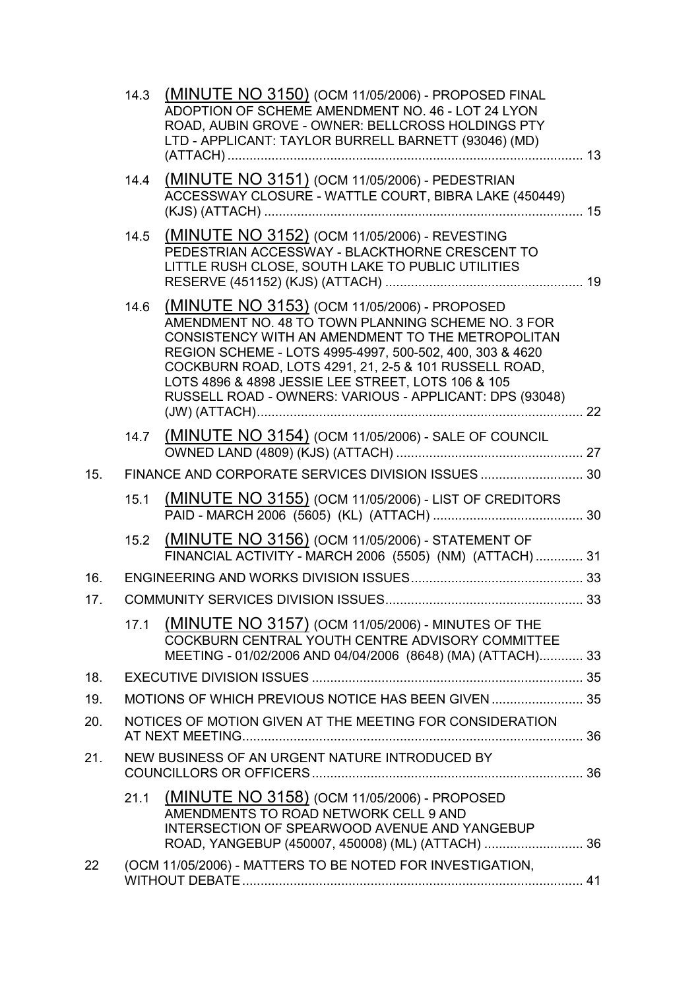|     | 14.3 | (MINUTE NO 3150) (OCM 11/05/2006) - PROPOSED FINAL<br>ADOPTION OF SCHEME AMENDMENT NO. 46 - LOT 24 LYON<br>ROAD, AUBIN GROVE - OWNER: BELLCROSS HOLDINGS PTY<br>LTD - APPLICANT: TAYLOR BURRELL BARNETT (93046) (MD)                                                                                                                                                                          |  |
|-----|------|-----------------------------------------------------------------------------------------------------------------------------------------------------------------------------------------------------------------------------------------------------------------------------------------------------------------------------------------------------------------------------------------------|--|
|     | 14.4 | (MINUTE NO 3151) (OCM 11/05/2006) - PEDESTRIAN<br>ACCESSWAY CLOSURE - WATTLE COURT, BIBRA LAKE (450449)                                                                                                                                                                                                                                                                                       |  |
|     | 14.5 | (MINUTE NO 3152) (OCM 11/05/2006) - REVESTING<br>PEDESTRIAN ACCESSWAY - BLACKTHORNE CRESCENT TO<br>LITTLE RUSH CLOSE, SOUTH LAKE TO PUBLIC UTILITIES                                                                                                                                                                                                                                          |  |
|     | 14.6 | (MINUTE NO 3153) (OCM 11/05/2006) - PROPOSED<br>AMENDMENT NO. 48 TO TOWN PLANNING SCHEME NO. 3 FOR<br>CONSISTENCY WITH AN AMENDMENT TO THE METROPOLITAN<br>REGION SCHEME - LOTS 4995-4997, 500-502, 400, 303 & 4620<br>COCKBURN ROAD, LOTS 4291, 21, 2-5 & 101 RUSSELL ROAD,<br>LOTS 4896 & 4898 JESSIE LEE STREET, LOTS 106 & 105<br>RUSSELL ROAD - OWNERS: VARIOUS - APPLICANT: DPS (93048) |  |
|     | 14.7 | (MINUTE NO 3154) (OCM 11/05/2006) - SALE OF COUNCIL                                                                                                                                                                                                                                                                                                                                           |  |
| 15. |      |                                                                                                                                                                                                                                                                                                                                                                                               |  |
|     | 15.1 | (MINUTE NO 3155) (OCM 11/05/2006) - LIST OF CREDITORS                                                                                                                                                                                                                                                                                                                                         |  |
|     |      | 15.2 (MINUTE NO 3156) (OCM 11/05/2006) - STATEMENT OF<br>FINANCIAL ACTIVITY - MARCH 2006 (5505) (NM) (ATTACH) 31                                                                                                                                                                                                                                                                              |  |
| 16. |      |                                                                                                                                                                                                                                                                                                                                                                                               |  |
| 17. |      |                                                                                                                                                                                                                                                                                                                                                                                               |  |
|     | 17.1 | (MINUTE NO 3157) (OCM 11/05/2006) - MINUTES OF THE<br>COCKBURN CENTRAL YOUTH CENTRE ADVISORY COMMITTEE<br>MEETING - 01/02/2006 AND 04/04/2006 (8648) (MA) (ATTACH) 33                                                                                                                                                                                                                         |  |
| 18. |      |                                                                                                                                                                                                                                                                                                                                                                                               |  |
| 19. |      | MOTIONS OF WHICH PREVIOUS NOTICE HAS BEEN GIVEN  35                                                                                                                                                                                                                                                                                                                                           |  |
| 20. |      | NOTICES OF MOTION GIVEN AT THE MEETING FOR CONSIDERATION                                                                                                                                                                                                                                                                                                                                      |  |
| 21. |      | NEW BUSINESS OF AN URGENT NATURE INTRODUCED BY                                                                                                                                                                                                                                                                                                                                                |  |
|     | 21.1 | (MINUTE NO 3158) (OCM 11/05/2006) - PROPOSED<br>AMENDMENTS TO ROAD NETWORK CELL 9 AND<br>INTERSECTION OF SPEARWOOD AVENUE AND YANGEBUP<br>ROAD, YANGEBUP (450007, 450008) (ML) (ATTACH)  36                                                                                                                                                                                                   |  |
| 22  |      | (OCM 11/05/2006) - MATTERS TO BE NOTED FOR INVESTIGATION,                                                                                                                                                                                                                                                                                                                                     |  |
|     |      |                                                                                                                                                                                                                                                                                                                                                                                               |  |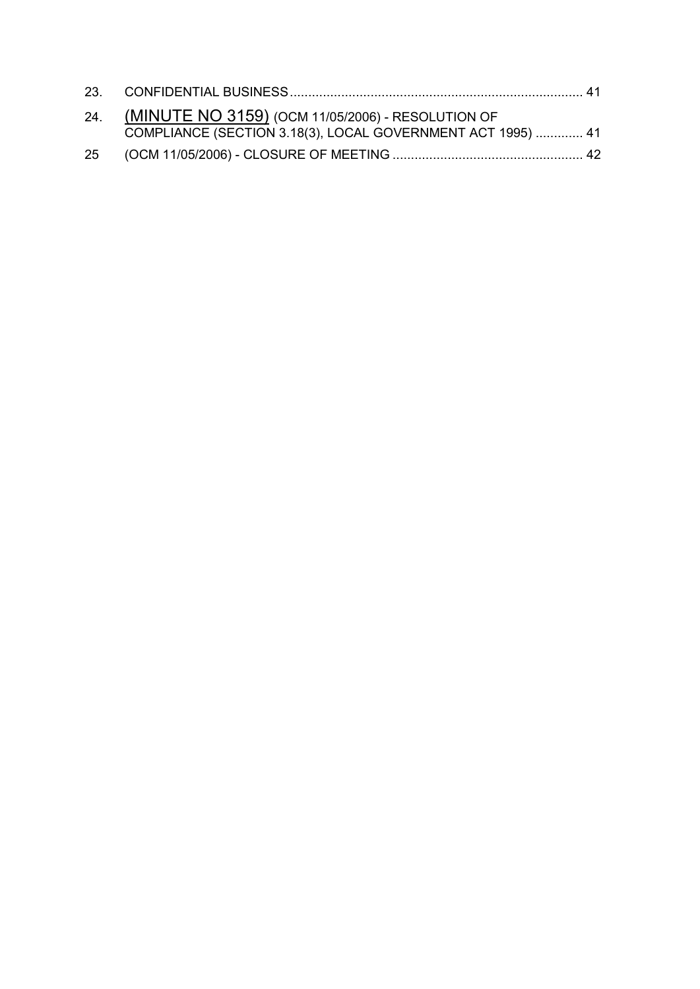| 24. (MINUTE NO 3159) (OCM 11/05/2006) - RESOLUTION OF<br>COMPLIANCE (SECTION 3.18(3), LOCAL GOVERNMENT ACT 1995)  41 |  |
|----------------------------------------------------------------------------------------------------------------------|--|
|                                                                                                                      |  |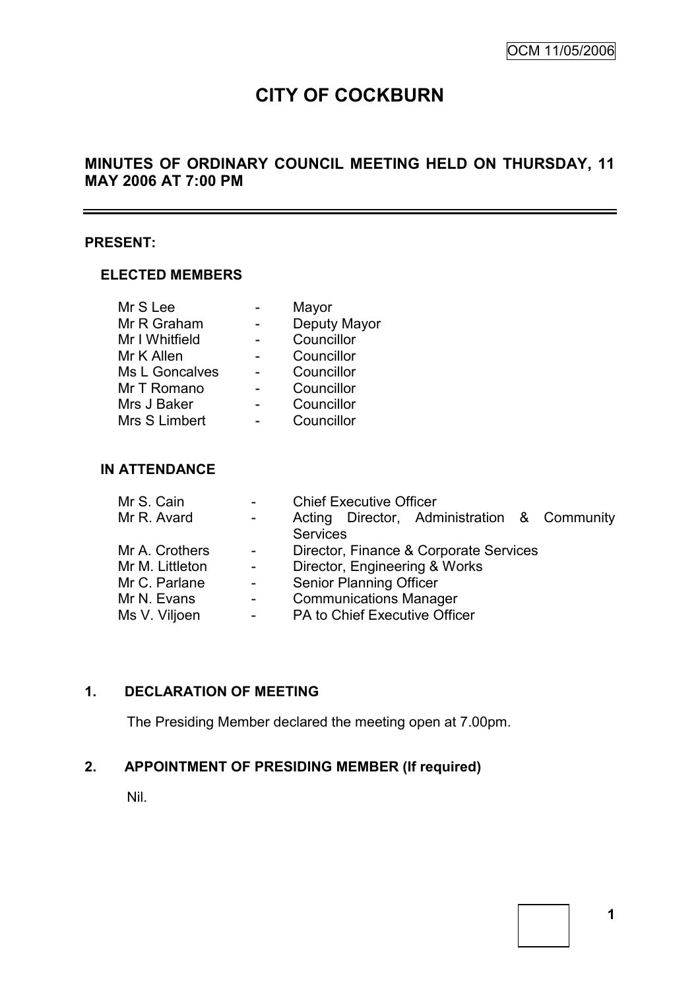L,

# **CITY OF COCKBURN**

# **MINUTES OF ORDINARY COUNCIL MEETING HELD ON THURSDAY, 11 MAY 2006 AT 7:00 PM**

# **PRESENT:**

### **ELECTED MEMBERS**

| Mr S Lee       | Mayor        |
|----------------|--------------|
| Mr R Graham    | Deputy Mayor |
| Mr I Whitfield | Councillor   |
| Mr K Allen     | Councillor   |
| Ms L Goncalves | Councillor   |
| Mr T Romano    | Councillor   |
| Mrs J Baker    | Councillor   |
| Mrs S Limbert  | Councillor   |

# **IN ATTENDANCE**

| Mr S. Cain      | $\blacksquare$            | <b>Chief Executive Officer</b> |                                |                                             |  |  |  |
|-----------------|---------------------------|--------------------------------|--------------------------------|---------------------------------------------|--|--|--|
| Mr R. Avard     | $\sim 100$                |                                |                                | Acting Director, Administration & Community |  |  |  |
|                 |                           | <b>Services</b>                |                                |                                             |  |  |  |
| Mr A. Crothers  | $\sim$ $-$                |                                |                                | Director, Finance & Corporate Services      |  |  |  |
| Mr M. Littleton | $\sim$ $-$                | Director, Engineering & Works  |                                |                                             |  |  |  |
| Mr C. Parlane   | $\sim 10^7$               |                                | <b>Senior Planning Officer</b> |                                             |  |  |  |
| Mr N. Evans     | $\mathbf{L}^{\text{max}}$ |                                | <b>Communications Manager</b>  |                                             |  |  |  |
| Ms V. Viljoen   | $\overline{\phantom{a}}$  | PA to Chief Executive Officer  |                                |                                             |  |  |  |

# **1. DECLARATION OF MEETING**

The Presiding Member declared the meeting open at 7.00pm.

# **2. APPOINTMENT OF PRESIDING MEMBER (If required)**

Nil.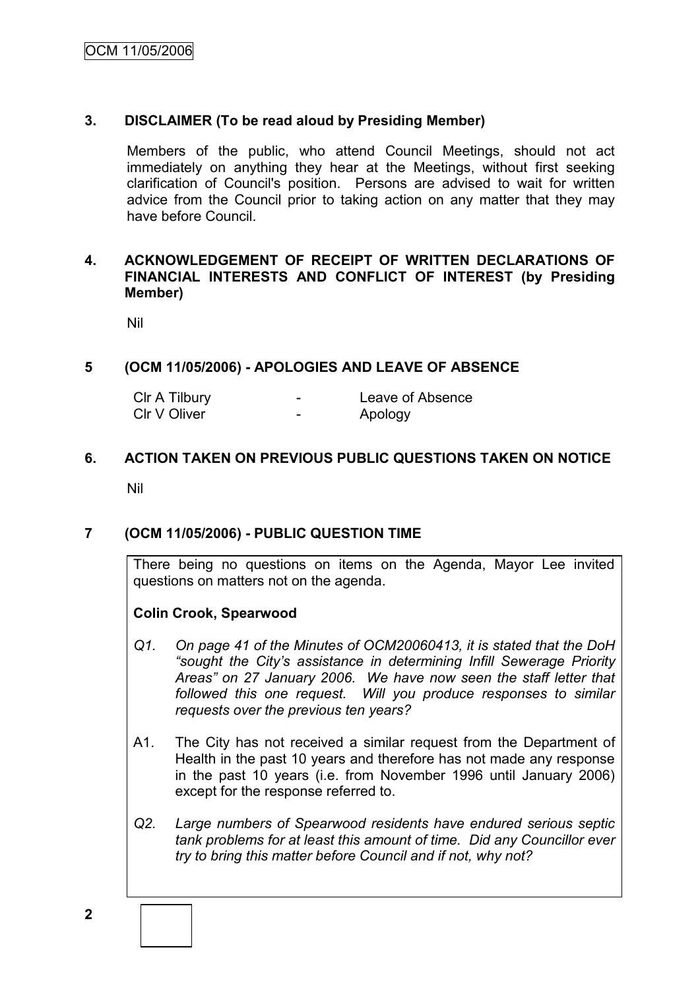# **3. DISCLAIMER (To be read aloud by Presiding Member)**

Members of the public, who attend Council Meetings, should not act immediately on anything they hear at the Meetings, without first seeking clarification of Council's position. Persons are advised to wait for written advice from the Council prior to taking action on any matter that they may have before Council.

# **4. ACKNOWLEDGEMENT OF RECEIPT OF WRITTEN DECLARATIONS OF FINANCIAL INTERESTS AND CONFLICT OF INTEREST (by Presiding Member)**

Nil

# **5 (OCM 11/05/2006) - APOLOGIES AND LEAVE OF ABSENCE**

| CIr A Tilbury | - | Leave of Absence |
|---------------|---|------------------|
| CIr V Oliver  | - | Apology          |

# **6. ACTION TAKEN ON PREVIOUS PUBLIC QUESTIONS TAKEN ON NOTICE**

Nil

# **7 (OCM 11/05/2006) - PUBLIC QUESTION TIME**

There being no questions on items on the Agenda, Mayor Lee invited questions on matters not on the agenda.

# **Colin Crook, Spearwood**

- *Q1. On page 41 of the Minutes of OCM20060413, it is stated that the DoH "sought the City's assistance in determining Infill Sewerage Priority Areas" on 27 January 2006. We have now seen the staff letter that followed this one request. Will you produce responses to similar requests over the previous ten years?*
- A1. The City has not received a similar request from the Department of Health in the past 10 years and therefore has not made any response in the past 10 years (i.e. from November 1996 until January 2006) except for the response referred to.
- *Q2. Large numbers of Spearwood residents have endured serious septic tank problems for at least this amount of time. Did any Councillor ever try to bring this matter before Council and if not, why not?*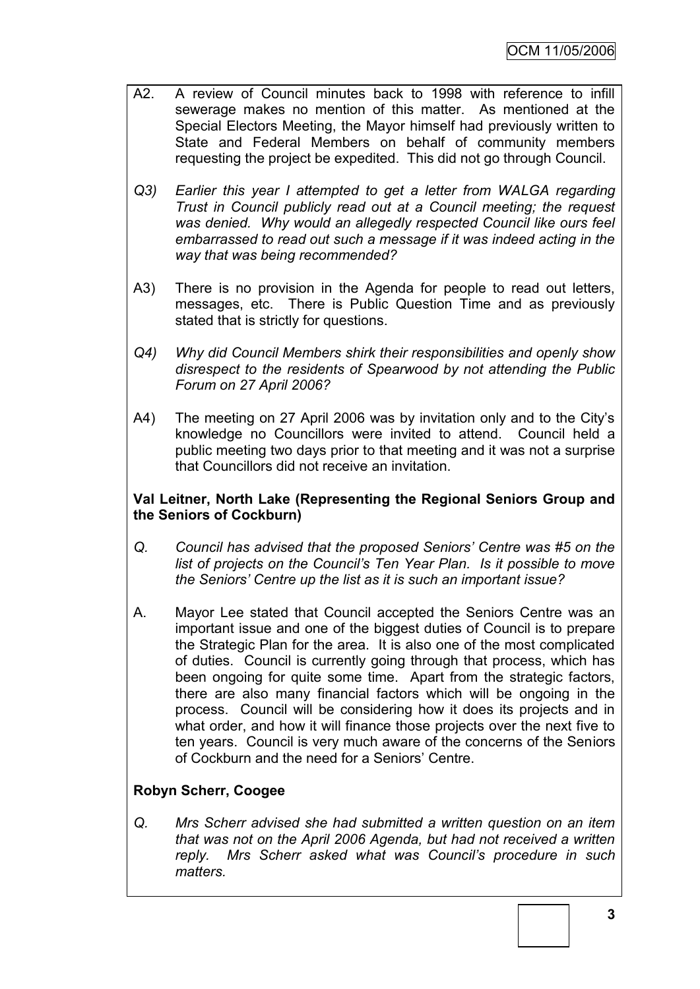- A2. A review of Council minutes back to 1998 with reference to infill sewerage makes no mention of this matter. As mentioned at the Special Electors Meeting, the Mayor himself had previously written to State and Federal Members on behalf of community members requesting the project be expedited. This did not go through Council.
- *Q3) Earlier this year I attempted to get a letter from WALGA regarding Trust in Council publicly read out at a Council meeting; the request was denied. Why would an allegedly respected Council like ours feel embarrassed to read out such a message if it was indeed acting in the way that was being recommended?*
- A3) There is no provision in the Agenda for people to read out letters, messages, etc. There is Public Question Time and as previously stated that is strictly for questions.
- *Q4) Why did Council Members shirk their responsibilities and openly show disrespect to the residents of Spearwood by not attending the Public Forum on 27 April 2006?*
- A4) The meeting on 27 April 2006 was by invitation only and to the City's knowledge no Councillors were invited to attend. Council held a public meeting two days prior to that meeting and it was not a surprise that Councillors did not receive an invitation.

# **Val Leitner, North Lake (Representing the Regional Seniors Group and the Seniors of Cockburn)**

- *Q. Council has advised that the proposed Seniors' Centre was #5 on the list of projects on the Council's Ten Year Plan. Is it possible to move the Seniors' Centre up the list as it is such an important issue?*
- A. Mayor Lee stated that Council accepted the Seniors Centre was an important issue and one of the biggest duties of Council is to prepare the Strategic Plan for the area. It is also one of the most complicated of duties. Council is currently going through that process, which has been ongoing for quite some time. Apart from the strategic factors, there are also many financial factors which will be ongoing in the process. Council will be considering how it does its projects and in what order, and how it will finance those projects over the next five to ten years. Council is very much aware of the concerns of the Seniors of Cockburn and the need for a Seniors' Centre.

# **Robyn Scherr, Coogee**

*Q. Mrs Scherr advised she had submitted a written question on an item that was not on the April 2006 Agenda, but had not received a written reply. Mrs Scherr asked what was Council's procedure in such matters.*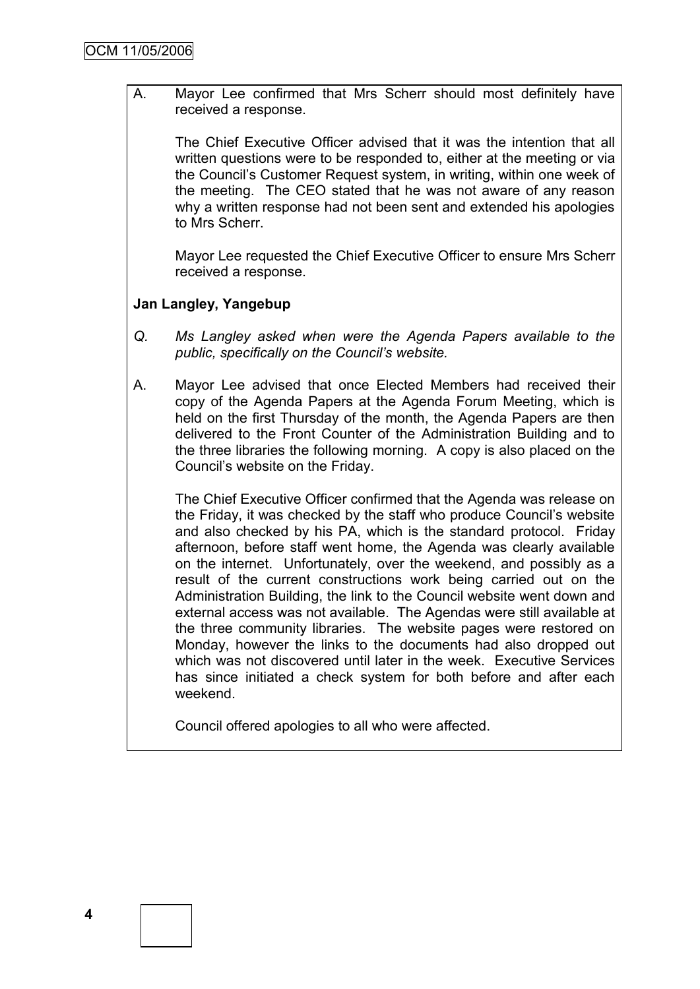A. Mayor Lee confirmed that Mrs Scherr should most definitely have received a response.

The Chief Executive Officer advised that it was the intention that all written questions were to be responded to, either at the meeting or via the Council's Customer Request system, in writing, within one week of the meeting. The CEO stated that he was not aware of any reason why a written response had not been sent and extended his apologies to Mrs Scherr.

Mayor Lee requested the Chief Executive Officer to ensure Mrs Scherr received a response.

# **Jan Langley, Yangebup**

- *Q. Ms Langley asked when were the Agenda Papers available to the public, specifically on the Council's website.*
- A. Mayor Lee advised that once Elected Members had received their copy of the Agenda Papers at the Agenda Forum Meeting, which is held on the first Thursday of the month, the Agenda Papers are then delivered to the Front Counter of the Administration Building and to the three libraries the following morning. A copy is also placed on the Council's website on the Friday.

The Chief Executive Officer confirmed that the Agenda was release on the Friday, it was checked by the staff who produce Council's website and also checked by his PA, which is the standard protocol. Friday afternoon, before staff went home, the Agenda was clearly available on the internet. Unfortunately, over the weekend, and possibly as a result of the current constructions work being carried out on the Administration Building, the link to the Council website went down and external access was not available. The Agendas were still available at the three community libraries. The website pages were restored on Monday, however the links to the documents had also dropped out which was not discovered until later in the week. Executive Services has since initiated a check system for both before and after each weekend.

Council offered apologies to all who were affected.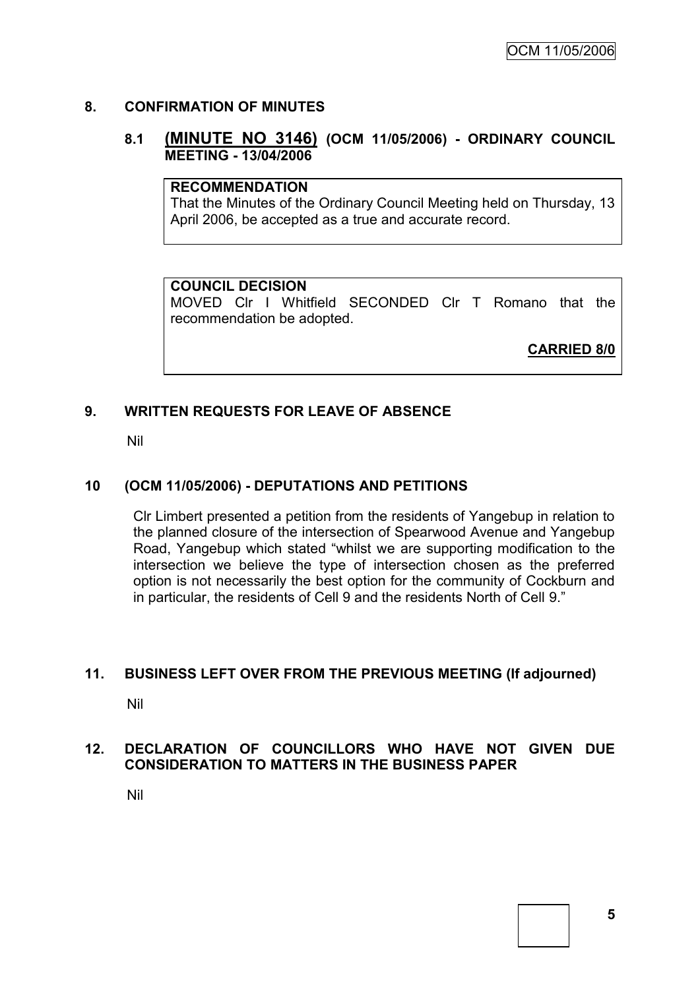# **8. CONFIRMATION OF MINUTES**

# **8.1 (MINUTE NO 3146) (OCM 11/05/2006) - ORDINARY COUNCIL MEETING - 13/04/2006**

### **RECOMMENDATION**

That the Minutes of the Ordinary Council Meeting held on Thursday, 13 April 2006, be accepted as a true and accurate record.

# **COUNCIL DECISION**

MOVED Clr I Whitfield SECONDED Clr T Romano that the recommendation be adopted.

**CARRIED 8/0**

# **9. WRITTEN REQUESTS FOR LEAVE OF ABSENCE**

Nil

# **10 (OCM 11/05/2006) - DEPUTATIONS AND PETITIONS**

Clr Limbert presented a petition from the residents of Yangebup in relation to the planned closure of the intersection of Spearwood Avenue and Yangebup Road, Yangebup which stated "whilst we are supporting modification to the intersection we believe the type of intersection chosen as the preferred option is not necessarily the best option for the community of Cockburn and in particular, the residents of Cell 9 and the residents North of Cell 9."

#### **11. BUSINESS LEFT OVER FROM THE PREVIOUS MEETING (If adjourned)**

Nil

# **12. DECLARATION OF COUNCILLORS WHO HAVE NOT GIVEN DUE CONSIDERATION TO MATTERS IN THE BUSINESS PAPER**

Nil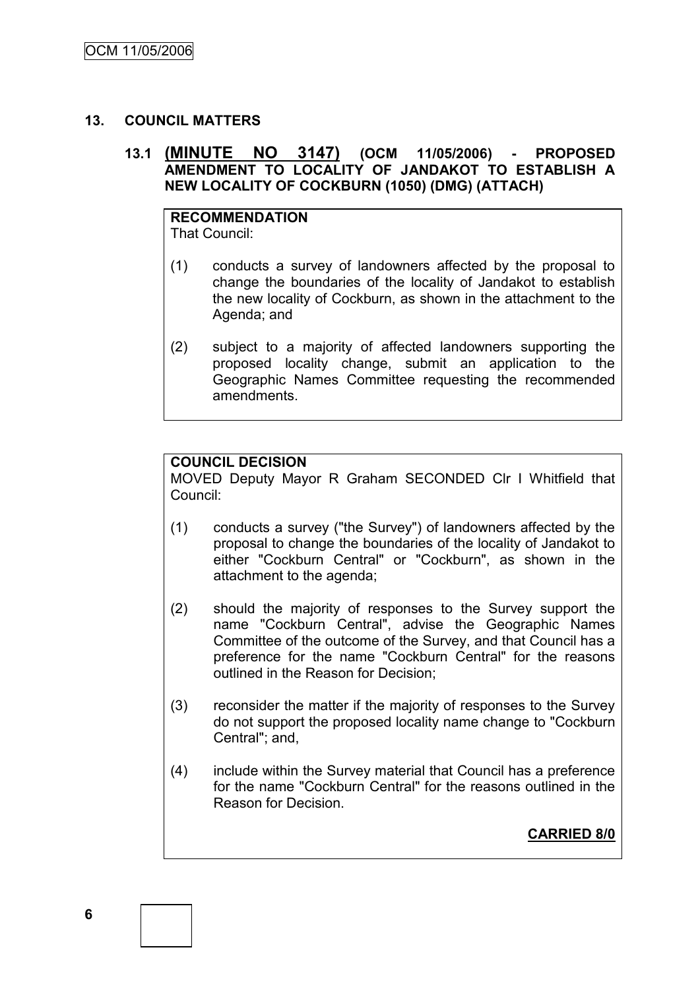### **13. COUNCIL MATTERS**

# **13.1 (MINUTE NO 3147) (OCM 11/05/2006) - PROPOSED AMENDMENT TO LOCALITY OF JANDAKOT TO ESTABLISH A NEW LOCALITY OF COCKBURN (1050) (DMG) (ATTACH)**

# **RECOMMENDATION**

That Council:

- (1) conducts a survey of landowners affected by the proposal to change the boundaries of the locality of Jandakot to establish the new locality of Cockburn, as shown in the attachment to the Agenda; and
- (2) subject to a majority of affected landowners supporting the proposed locality change, submit an application to the Geographic Names Committee requesting the recommended amendments.

#### **COUNCIL DECISION**

MOVED Deputy Mayor R Graham SECONDED Clr I Whitfield that Council:

- (1) conducts a survey ("the Survey") of landowners affected by the proposal to change the boundaries of the locality of Jandakot to either "Cockburn Central" or "Cockburn", as shown in the attachment to the agenda;
- (2) should the majority of responses to the Survey support the name "Cockburn Central", advise the Geographic Names Committee of the outcome of the Survey, and that Council has a preference for the name "Cockburn Central" for the reasons outlined in the Reason for Decision;
- (3) reconsider the matter if the majority of responses to the Survey do not support the proposed locality name change to "Cockburn Central"; and,
- (4) include within the Survey material that Council has a preference for the name "Cockburn Central" for the reasons outlined in the Reason for Decision.

**CARRIED 8/0**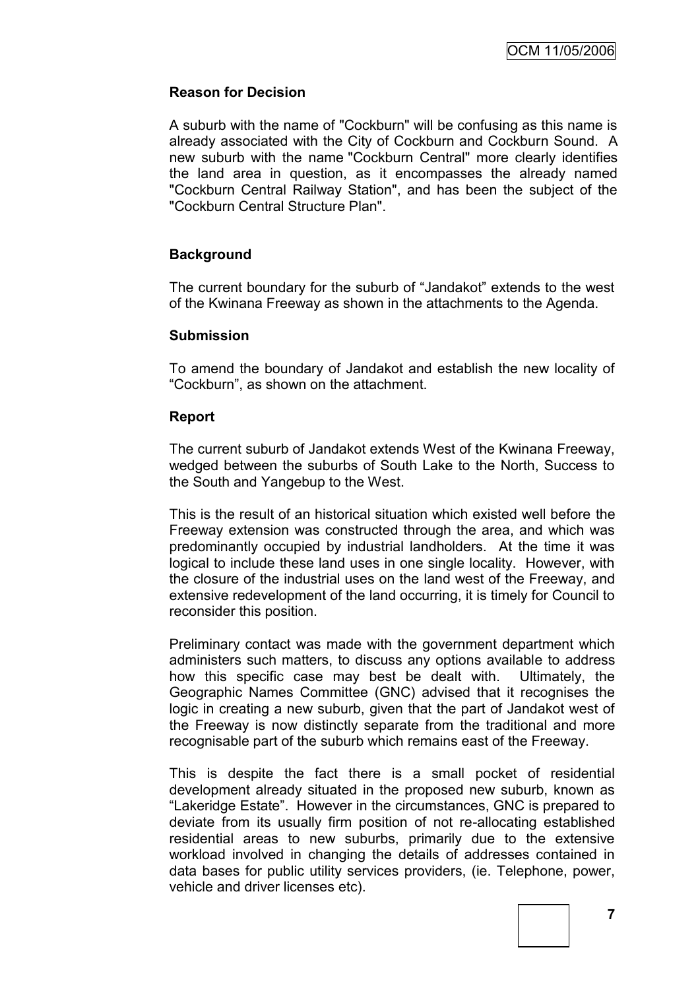# **Reason for Decision**

A suburb with the name of "Cockburn" will be confusing as this name is already associated with the City of Cockburn and Cockburn Sound. A new suburb with the name "Cockburn Central" more clearly identifies the land area in question, as it encompasses the already named "Cockburn Central Railway Station", and has been the subject of the "Cockburn Central Structure Plan".

# **Background**

The current boundary for the suburb of "Jandakot" extends to the west of the Kwinana Freeway as shown in the attachments to the Agenda.

### **Submission**

To amend the boundary of Jandakot and establish the new locality of "Cockburn", as shown on the attachment.

# **Report**

The current suburb of Jandakot extends West of the Kwinana Freeway, wedged between the suburbs of South Lake to the North, Success to the South and Yangebup to the West.

This is the result of an historical situation which existed well before the Freeway extension was constructed through the area, and which was predominantly occupied by industrial landholders. At the time it was logical to include these land uses in one single locality. However, with the closure of the industrial uses on the land west of the Freeway, and extensive redevelopment of the land occurring, it is timely for Council to reconsider this position.

Preliminary contact was made with the government department which administers such matters, to discuss any options available to address how this specific case may best be dealt with. Ultimately, the Geographic Names Committee (GNC) advised that it recognises the logic in creating a new suburb, given that the part of Jandakot west of the Freeway is now distinctly separate from the traditional and more recognisable part of the suburb which remains east of the Freeway.

This is despite the fact there is a small pocket of residential development already situated in the proposed new suburb, known as "Lakeridge Estate". However in the circumstances, GNC is prepared to deviate from its usually firm position of not re-allocating established residential areas to new suburbs, primarily due to the extensive workload involved in changing the details of addresses contained in data bases for public utility services providers, (ie. Telephone, power, vehicle and driver licenses etc).

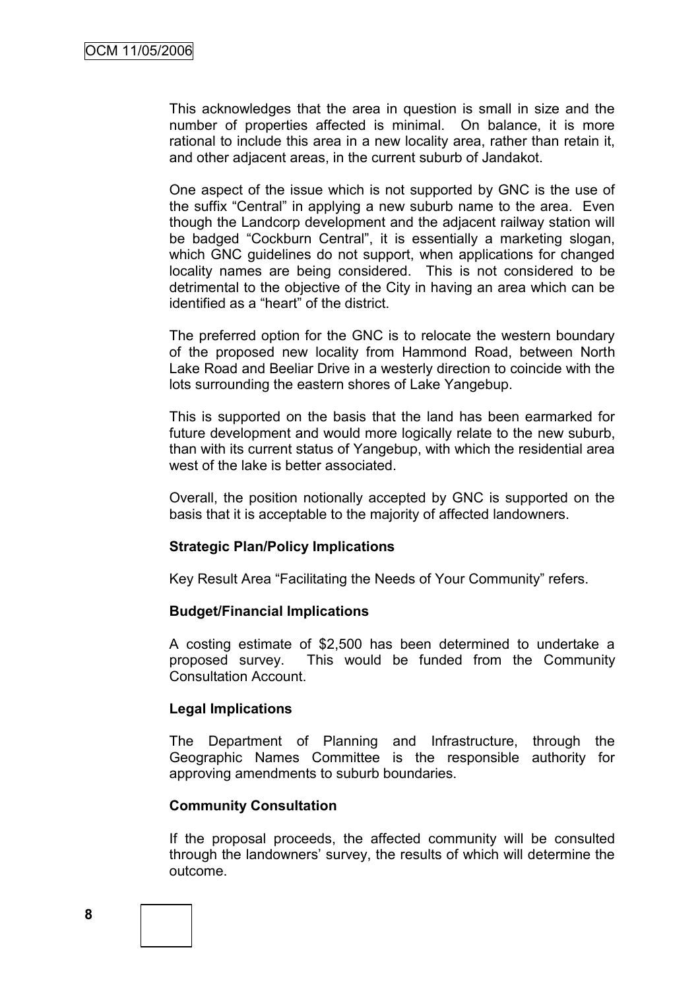This acknowledges that the area in question is small in size and the number of properties affected is minimal. On balance, it is more rational to include this area in a new locality area, rather than retain it, and other adjacent areas, in the current suburb of Jandakot.

One aspect of the issue which is not supported by GNC is the use of the suffix "Central" in applying a new suburb name to the area. Even though the Landcorp development and the adjacent railway station will be badged "Cockburn Central", it is essentially a marketing slogan, which GNC guidelines do not support, when applications for changed locality names are being considered. This is not considered to be detrimental to the objective of the City in having an area which can be identified as a "heart" of the district.

The preferred option for the GNC is to relocate the western boundary of the proposed new locality from Hammond Road, between North Lake Road and Beeliar Drive in a westerly direction to coincide with the lots surrounding the eastern shores of Lake Yangebup.

This is supported on the basis that the land has been earmarked for future development and would more logically relate to the new suburb. than with its current status of Yangebup, with which the residential area west of the lake is better associated.

Overall, the position notionally accepted by GNC is supported on the basis that it is acceptable to the majority of affected landowners.

#### **Strategic Plan/Policy Implications**

Key Result Area "Facilitating the Needs of Your Community" refers.

#### **Budget/Financial Implications**

A costing estimate of \$2,500 has been determined to undertake a proposed survey. This would be funded from the Community Consultation Account.

#### **Legal Implications**

The Department of Planning and Infrastructure, through the Geographic Names Committee is the responsible authority for approving amendments to suburb boundaries.

#### **Community Consultation**

If the proposal proceeds, the affected community will be consulted through the landowners' survey, the results of which will determine the outcome.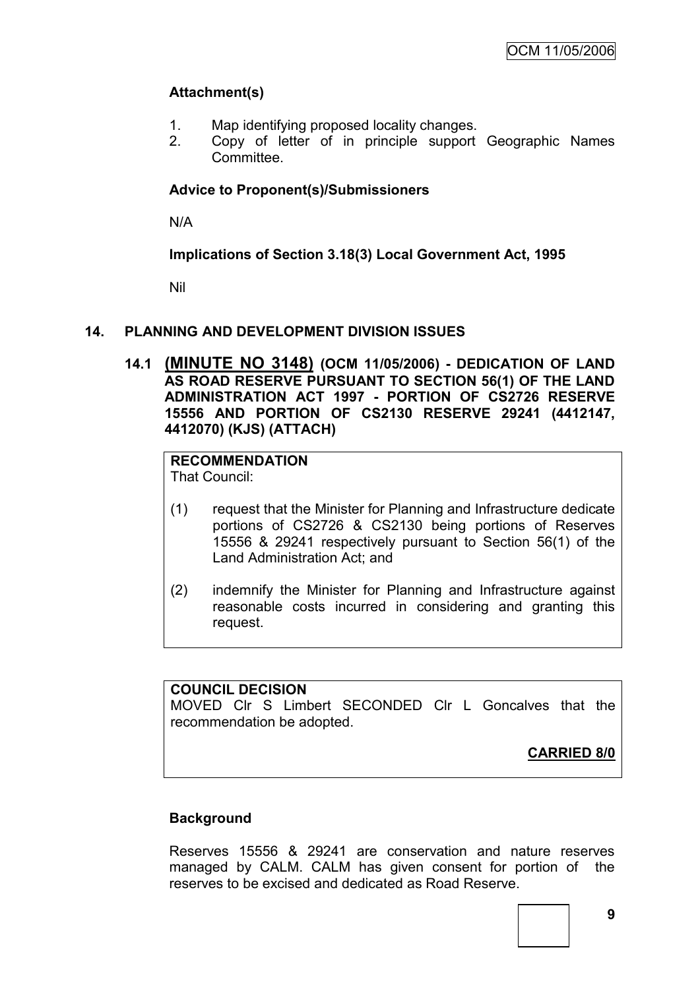# **Attachment(s)**

- 1. Map identifying proposed locality changes.
- 2. Copy of letter of in principle support Geographic Names Committee.

# **Advice to Proponent(s)/Submissioners**

N/A

**Implications of Section 3.18(3) Local Government Act, 1995**

Nil

# **14. PLANNING AND DEVELOPMENT DIVISION ISSUES**

**14.1 (MINUTE NO 3148) (OCM 11/05/2006) - DEDICATION OF LAND AS ROAD RESERVE PURSUANT TO SECTION 56(1) OF THE LAND ADMINISTRATION ACT 1997 - PORTION OF CS2726 RESERVE 15556 AND PORTION OF CS2130 RESERVE 29241 (4412147, 4412070) (KJS) (ATTACH)**

# **RECOMMENDATION**

That Council:

- (1) request that the Minister for Planning and Infrastructure dedicate portions of CS2726 & CS2130 being portions of Reserves 15556 & 29241 respectively pursuant to Section 56(1) of the Land Administration Act; and
- (2) indemnify the Minister for Planning and Infrastructure against reasonable costs incurred in considering and granting this request.

# **COUNCIL DECISION**

MOVED Clr S Limbert SECONDED Clr L Goncalves that the recommendation be adopted.

**CARRIED 8/0**

# **Background**

Reserves 15556 & 29241 are conservation and nature reserves managed by CALM. CALM has given consent for portion of the reserves to be excised and dedicated as Road Reserve.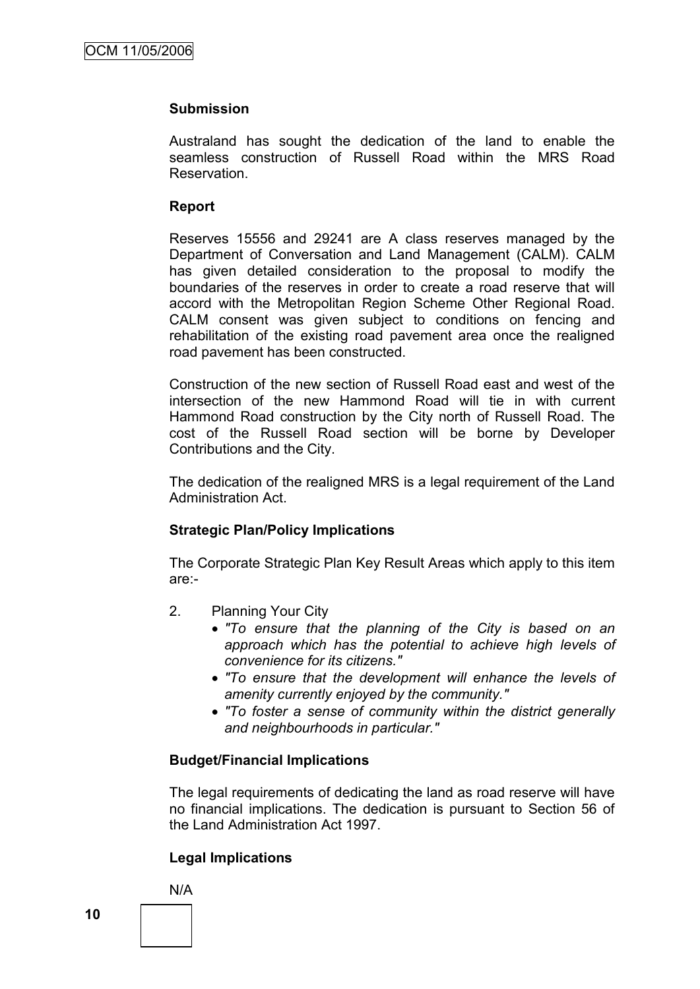### **Submission**

Australand has sought the dedication of the land to enable the seamless construction of Russell Road within the MRS Road Reservation.

### **Report**

Reserves 15556 and 29241 are A class reserves managed by the Department of Conversation and Land Management (CALM). CALM has given detailed consideration to the proposal to modify the boundaries of the reserves in order to create a road reserve that will accord with the Metropolitan Region Scheme Other Regional Road. CALM consent was given subject to conditions on fencing and rehabilitation of the existing road pavement area once the realigned road pavement has been constructed.

Construction of the new section of Russell Road east and west of the intersection of the new Hammond Road will tie in with current Hammond Road construction by the City north of Russell Road. The cost of the Russell Road section will be borne by Developer Contributions and the City.

The dedication of the realigned MRS is a legal requirement of the Land Administration Act.

# **Strategic Plan/Policy Implications**

The Corporate Strategic Plan Key Result Areas which apply to this item are:-

- 2. Planning Your City
	- *"To ensure that the planning of the City is based on an approach which has the potential to achieve high levels of convenience for its citizens."*
	- *"To ensure that the development will enhance the levels of amenity currently enjoyed by the community."*
	- *"To foster a sense of community within the district generally and neighbourhoods in particular."*

# **Budget/Financial Implications**

The legal requirements of dedicating the land as road reserve will have no financial implications. The dedication is pursuant to Section 56 of the Land Administration Act 1997.

# **Legal Implications**

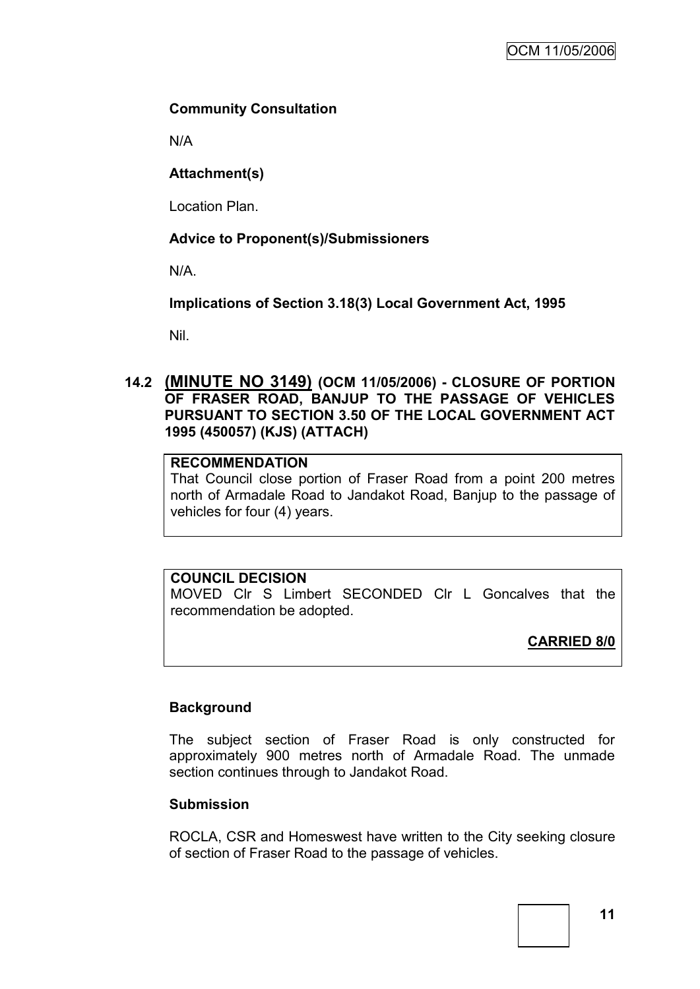# **Community Consultation**

N/A

# **Attachment(s)**

Location Plan.

# **Advice to Proponent(s)/Submissioners**

N/A.

**Implications of Section 3.18(3) Local Government Act, 1995**

Nil.

# **14.2 (MINUTE NO 3149) (OCM 11/05/2006) - CLOSURE OF PORTION OF FRASER ROAD, BANJUP TO THE PASSAGE OF VEHICLES PURSUANT TO SECTION 3.50 OF THE LOCAL GOVERNMENT ACT 1995 (450057) (KJS) (ATTACH)**

# **RECOMMENDATION**

That Council close portion of Fraser Road from a point 200 metres north of Armadale Road to Jandakot Road, Banjup to the passage of vehicles for four (4) years.

# **COUNCIL DECISION**

MOVED Clr S Limbert SECONDED Clr L Goncalves that the recommendation be adopted.

**CARRIED 8/0**

# **Background**

The subject section of Fraser Road is only constructed for approximately 900 metres north of Armadale Road. The unmade section continues through to Jandakot Road.

# **Submission**

ROCLA, CSR and Homeswest have written to the City seeking closure of section of Fraser Road to the passage of vehicles.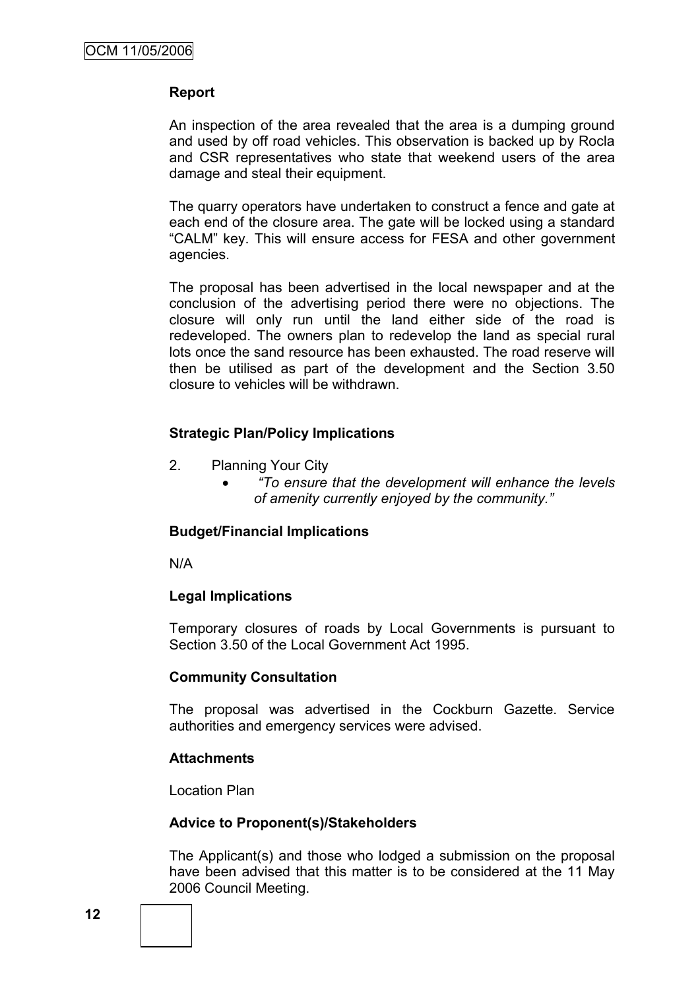# **Report**

An inspection of the area revealed that the area is a dumping ground and used by off road vehicles. This observation is backed up by Rocla and CSR representatives who state that weekend users of the area damage and steal their equipment.

The quarry operators have undertaken to construct a fence and gate at each end of the closure area. The gate will be locked using a standard "CALM" key. This will ensure access for FESA and other government agencies.

The proposal has been advertised in the local newspaper and at the conclusion of the advertising period there were no objections. The closure will only run until the land either side of the road is redeveloped. The owners plan to redevelop the land as special rural lots once the sand resource has been exhausted. The road reserve will then be utilised as part of the development and the Section 3.50 closure to vehicles will be withdrawn.

# **Strategic Plan/Policy Implications**

- 2. Planning Your City
	- *"To ensure that the development will enhance the levels of amenity currently enjoyed by the community."*

# **Budget/Financial Implications**

N/A

# **Legal Implications**

Temporary closures of roads by Local Governments is pursuant to Section 3.50 of the Local Government Act 1995.

# **Community Consultation**

The proposal was advertised in the Cockburn Gazette. Service authorities and emergency services were advised.

# **Attachments**

Location Plan

# **Advice to Proponent(s)/Stakeholders**

The Applicant(s) and those who lodged a submission on the proposal have been advised that this matter is to be considered at the 11 May 2006 Council Meeting.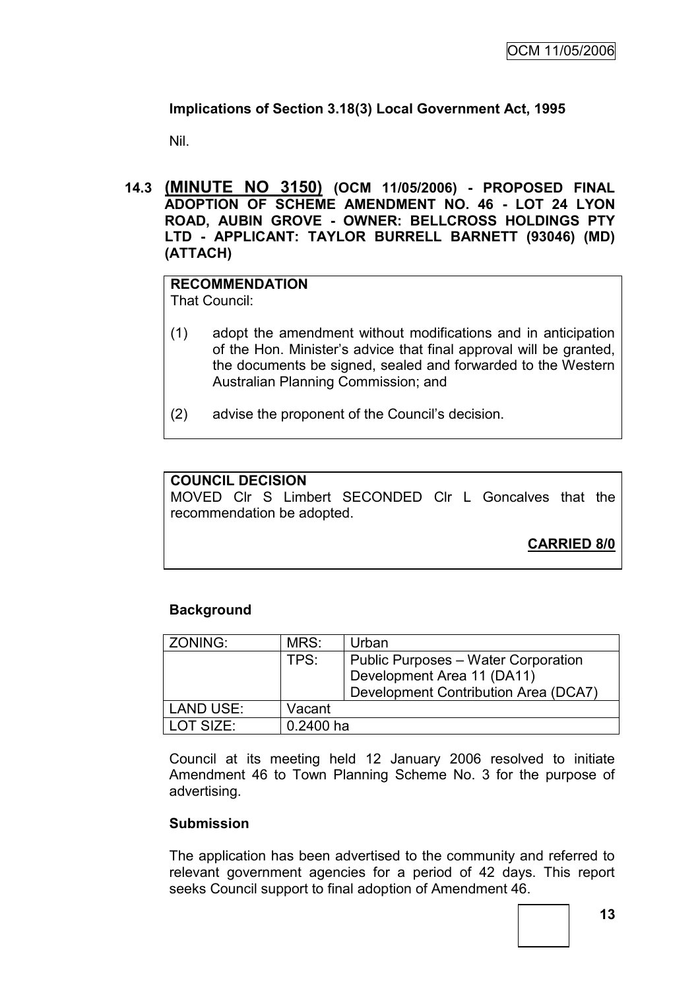# **Implications of Section 3.18(3) Local Government Act, 1995**

Nil.

**14.3 (MINUTE NO 3150) (OCM 11/05/2006) - PROPOSED FINAL ADOPTION OF SCHEME AMENDMENT NO. 46 - LOT 24 LYON ROAD, AUBIN GROVE - OWNER: BELLCROSS HOLDINGS PTY LTD - APPLICANT: TAYLOR BURRELL BARNETT (93046) (MD) (ATTACH)**

# **RECOMMENDATION**

That Council:

- (1) adopt the amendment without modifications and in anticipation of the Hon. Minister's advice that final approval will be granted, the documents be signed, sealed and forwarded to the Western Australian Planning Commission; and
- (2) advise the proponent of the Council's decision.

# **COUNCIL DECISION**

MOVED Clr S Limbert SECONDED Clr L Goncalves that the recommendation be adopted.

**CARRIED 8/0**

# **Background**

| ZONING:          | MRS:        | Urban                                |
|------------------|-------------|--------------------------------------|
|                  | TPS:        | Public Purposes – Water Corporation  |
|                  |             | Development Area 11 (DA11)           |
|                  |             | Development Contribution Area (DCA7) |
| <b>LAND USE:</b> | Vacant      |                                      |
| LOT SIZE:        | $0.2400$ ha |                                      |

Council at its meeting held 12 January 2006 resolved to initiate Amendment 46 to Town Planning Scheme No. 3 for the purpose of advertising.

# **Submission**

The application has been advertised to the community and referred to relevant government agencies for a period of 42 days. This report seeks Council support to final adoption of Amendment 46.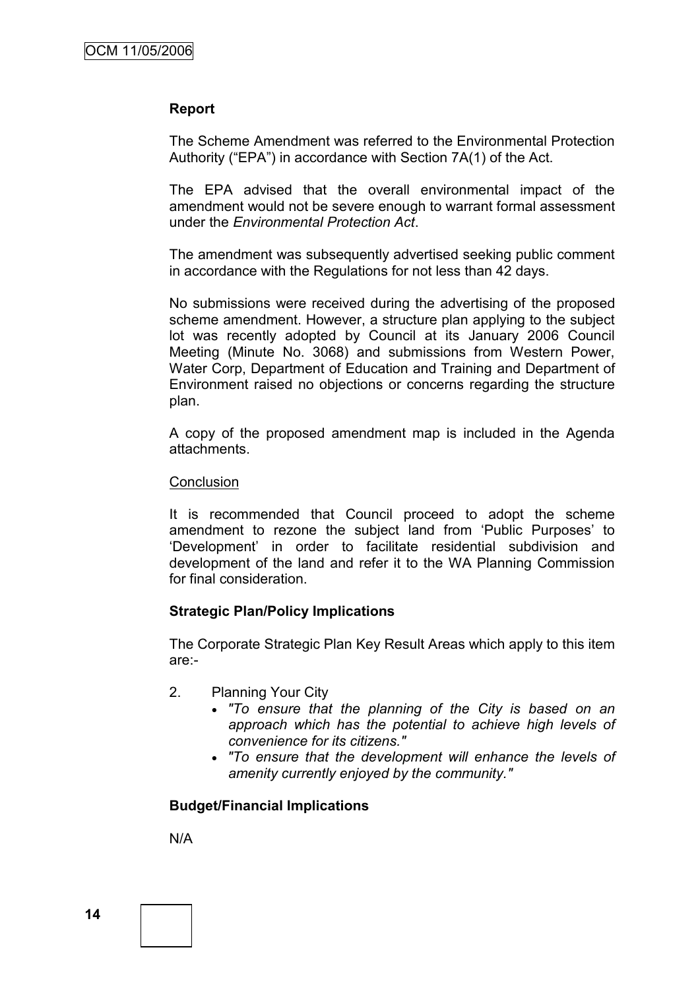### **Report**

The Scheme Amendment was referred to the Environmental Protection Authority ("EPA") in accordance with Section 7A(1) of the Act.

The EPA advised that the overall environmental impact of the amendment would not be severe enough to warrant formal assessment under the *Environmental Protection Act*.

The amendment was subsequently advertised seeking public comment in accordance with the Regulations for not less than 42 days.

No submissions were received during the advertising of the proposed scheme amendment. However, a structure plan applying to the subject lot was recently adopted by Council at its January 2006 Council Meeting (Minute No. 3068) and submissions from Western Power, Water Corp, Department of Education and Training and Department of Environment raised no objections or concerns regarding the structure plan.

A copy of the proposed amendment map is included in the Agenda attachments.

#### **Conclusion**

It is recommended that Council proceed to adopt the scheme amendment to rezone the subject land from 'Public Purposes' to 'Development' in order to facilitate residential subdivision and development of the land and refer it to the WA Planning Commission for final consideration.

#### **Strategic Plan/Policy Implications**

The Corporate Strategic Plan Key Result Areas which apply to this item are:-

- 2. Planning Your City
	- *"To ensure that the planning of the City is based on an approach which has the potential to achieve high levels of convenience for its citizens."*
	- *"To ensure that the development will enhance the levels of amenity currently enjoyed by the community."*

#### **Budget/Financial Implications**

N/A

**14**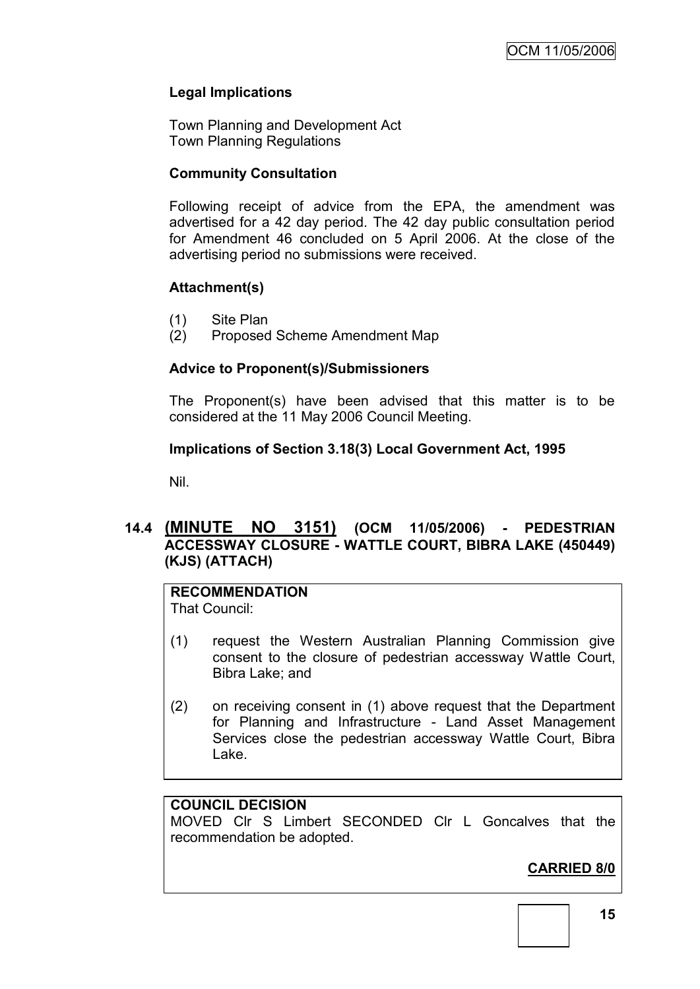# **Legal Implications**

Town Planning and Development Act Town Planning Regulations

# **Community Consultation**

Following receipt of advice from the EPA, the amendment was advertised for a 42 day period. The 42 day public consultation period for Amendment 46 concluded on 5 April 2006. At the close of the advertising period no submissions were received.

# **Attachment(s)**

- (1) Site Plan
- (2) Proposed Scheme Amendment Map

# **Advice to Proponent(s)/Submissioners**

The Proponent(s) have been advised that this matter is to be considered at the 11 May 2006 Council Meeting.

# **Implications of Section 3.18(3) Local Government Act, 1995**

Nil.

# **14.4 (MINUTE NO 3151) (OCM 11/05/2006) - PEDESTRIAN ACCESSWAY CLOSURE - WATTLE COURT, BIBRA LAKE (450449) (KJS) (ATTACH)**

# **RECOMMENDATION**

That Council:

- (1) request the Western Australian Planning Commission give consent to the closure of pedestrian accessway Wattle Court, Bibra Lake; and
- (2) on receiving consent in (1) above request that the Department for Planning and Infrastructure - Land Asset Management Services close the pedestrian accessway Wattle Court, Bibra Lake.

# **COUNCIL DECISION**

MOVED Clr S Limbert SECONDED Clr L Goncalves that the recommendation be adopted.

# **CARRIED 8/0**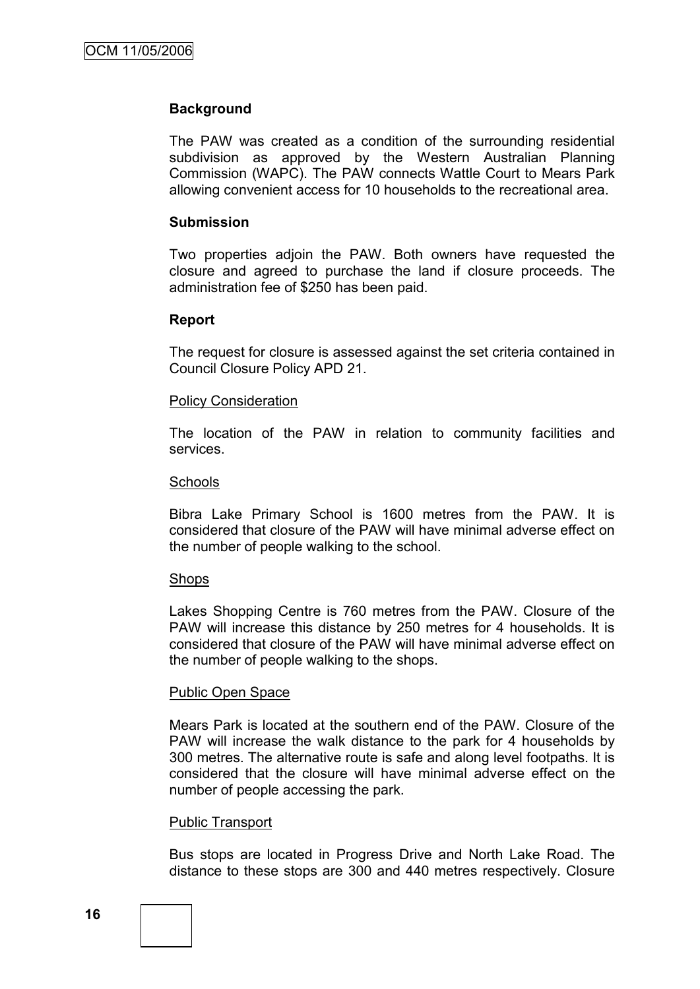### **Background**

The PAW was created as a condition of the surrounding residential subdivision as approved by the Western Australian Planning Commission (WAPC). The PAW connects Wattle Court to Mears Park allowing convenient access for 10 households to the recreational area.

#### **Submission**

Two properties adjoin the PAW. Both owners have requested the closure and agreed to purchase the land if closure proceeds. The administration fee of \$250 has been paid.

### **Report**

The request for closure is assessed against the set criteria contained in Council Closure Policy APD 21.

#### **Policy Consideration**

The location of the PAW in relation to community facilities and services.

#### **Schools**

Bibra Lake Primary School is 1600 metres from the PAW. It is considered that closure of the PAW will have minimal adverse effect on the number of people walking to the school.

#### Shops

Lakes Shopping Centre is 760 metres from the PAW. Closure of the PAW will increase this distance by 250 metres for 4 households. It is considered that closure of the PAW will have minimal adverse effect on the number of people walking to the shops.

#### Public Open Space

Mears Park is located at the southern end of the PAW. Closure of the PAW will increase the walk distance to the park for 4 households by 300 metres. The alternative route is safe and along level footpaths. It is considered that the closure will have minimal adverse effect on the number of people accessing the park.

#### Public Transport

Bus stops are located in Progress Drive and North Lake Road. The distance to these stops are 300 and 440 metres respectively. Closure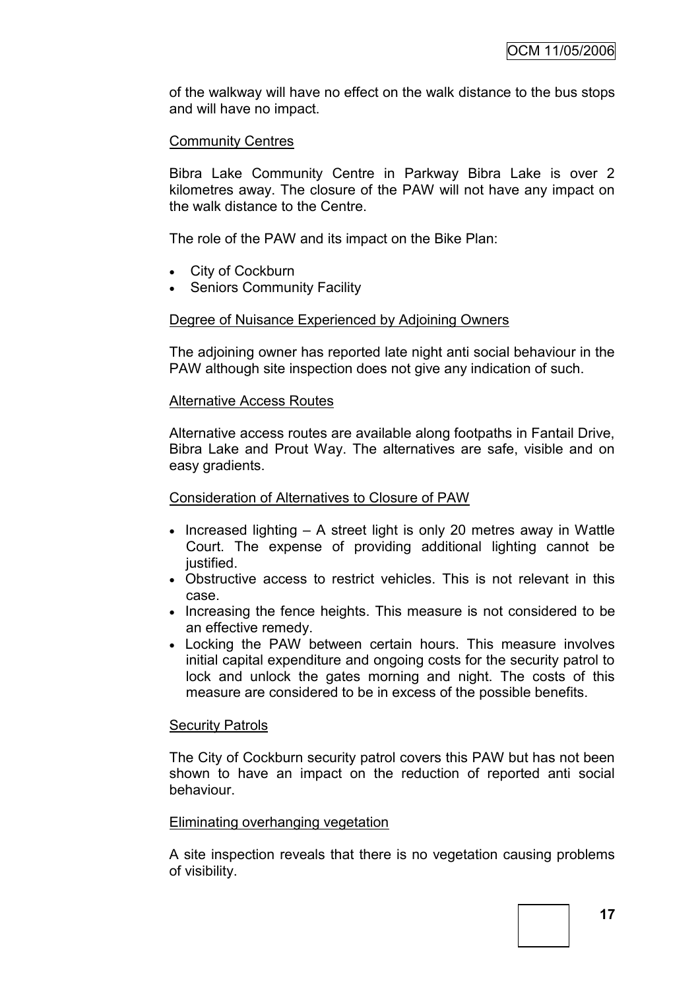of the walkway will have no effect on the walk distance to the bus stops and will have no impact.

# Community Centres

Bibra Lake Community Centre in Parkway Bibra Lake is over 2 kilometres away. The closure of the PAW will not have any impact on the walk distance to the Centre.

The role of the PAW and its impact on the Bike Plan:

- City of Cockburn
- Seniors Community Facility

### Degree of Nuisance Experienced by Adjoining Owners

The adjoining owner has reported late night anti social behaviour in the PAW although site inspection does not give any indication of such.

### Alternative Access Routes

Alternative access routes are available along footpaths in Fantail Drive, Bibra Lake and Prout Way. The alternatives are safe, visible and on easy gradients.

#### Consideration of Alternatives to Closure of PAW

- $\bullet$  Increased lighting  $-$  A street light is only 20 metres away in Wattle Court. The expense of providing additional lighting cannot be justified.
- Obstructive access to restrict vehicles. This is not relevant in this case.
- Increasing the fence heights. This measure is not considered to be an effective remedy.
- Locking the PAW between certain hours. This measure involves initial capital expenditure and ongoing costs for the security patrol to lock and unlock the gates morning and night. The costs of this measure are considered to be in excess of the possible benefits.

#### Security Patrols

The City of Cockburn security patrol covers this PAW but has not been shown to have an impact on the reduction of reported anti social behaviour.

#### Eliminating overhanging vegetation

A site inspection reveals that there is no vegetation causing problems of visibility.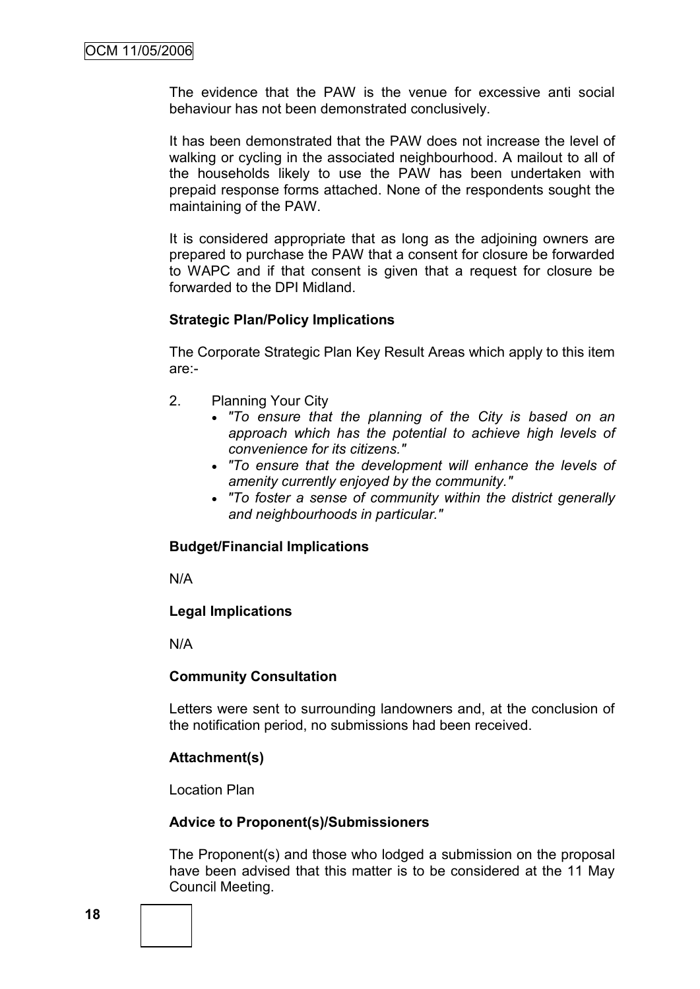The evidence that the PAW is the venue for excessive anti social behaviour has not been demonstrated conclusively.

It has been demonstrated that the PAW does not increase the level of walking or cycling in the associated neighbourhood. A mailout to all of the households likely to use the PAW has been undertaken with prepaid response forms attached. None of the respondents sought the maintaining of the PAW.

It is considered appropriate that as long as the adjoining owners are prepared to purchase the PAW that a consent for closure be forwarded to WAPC and if that consent is given that a request for closure be forwarded to the DPI Midland.

### **Strategic Plan/Policy Implications**

The Corporate Strategic Plan Key Result Areas which apply to this item are:-

- 2. Planning Your City
	- *"To ensure that the planning of the City is based on an approach which has the potential to achieve high levels of convenience for its citizens."*
	- *"To ensure that the development will enhance the levels of amenity currently enjoyed by the community."*
	- *"To foster a sense of community within the district generally and neighbourhoods in particular."*

#### **Budget/Financial Implications**

N/A

#### **Legal Implications**

N/A

#### **Community Consultation**

Letters were sent to surrounding landowners and, at the conclusion of the notification period, no submissions had been received.

#### **Attachment(s)**

Location Plan

#### **Advice to Proponent(s)/Submissioners**

The Proponent(s) and those who lodged a submission on the proposal have been advised that this matter is to be considered at the 11 May Council Meeting.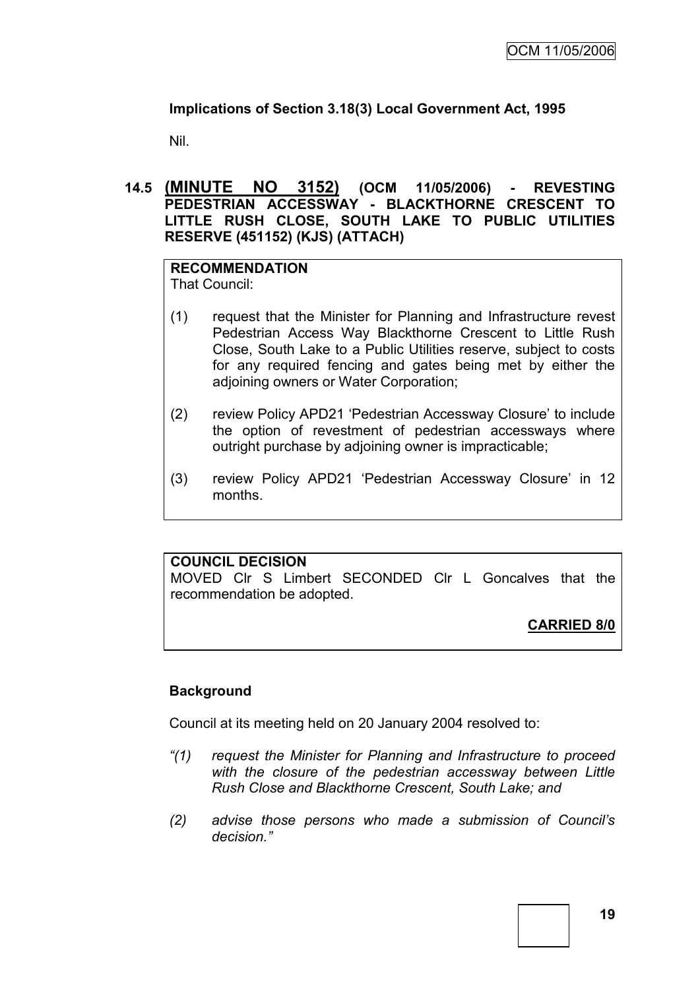# **Implications of Section 3.18(3) Local Government Act, 1995**

Nil.

# **14.5 (MINUTE NO 3152) (OCM 11/05/2006) - REVESTING PEDESTRIAN ACCESSWAY - BLACKTHORNE CRESCENT TO LITTLE RUSH CLOSE, SOUTH LAKE TO PUBLIC UTILITIES RESERVE (451152) (KJS) (ATTACH)**

# **RECOMMENDATION**

That Council:

- (1) request that the Minister for Planning and Infrastructure revest Pedestrian Access Way Blackthorne Crescent to Little Rush Close, South Lake to a Public Utilities reserve, subject to costs for any required fencing and gates being met by either the adjoining owners or Water Corporation;
- (2) review Policy APD21 'Pedestrian Accessway Closure' to include the option of revestment of pedestrian accessways where outright purchase by adjoining owner is impracticable;
- (3) review Policy APD21 'Pedestrian Accessway Closure' in 12 months.

# **COUNCIL DECISION**

MOVED Clr S Limbert SECONDED Clr L Goncalves that the recommendation be adopted.

**CARRIED 8/0**

# **Background**

Council at its meeting held on 20 January 2004 resolved to:

- *"(1) request the Minister for Planning and Infrastructure to proceed with the closure of the pedestrian accessway between Little Rush Close and Blackthorne Crescent, South Lake; and*
- *(2) advise those persons who made a submission of Council's decision."*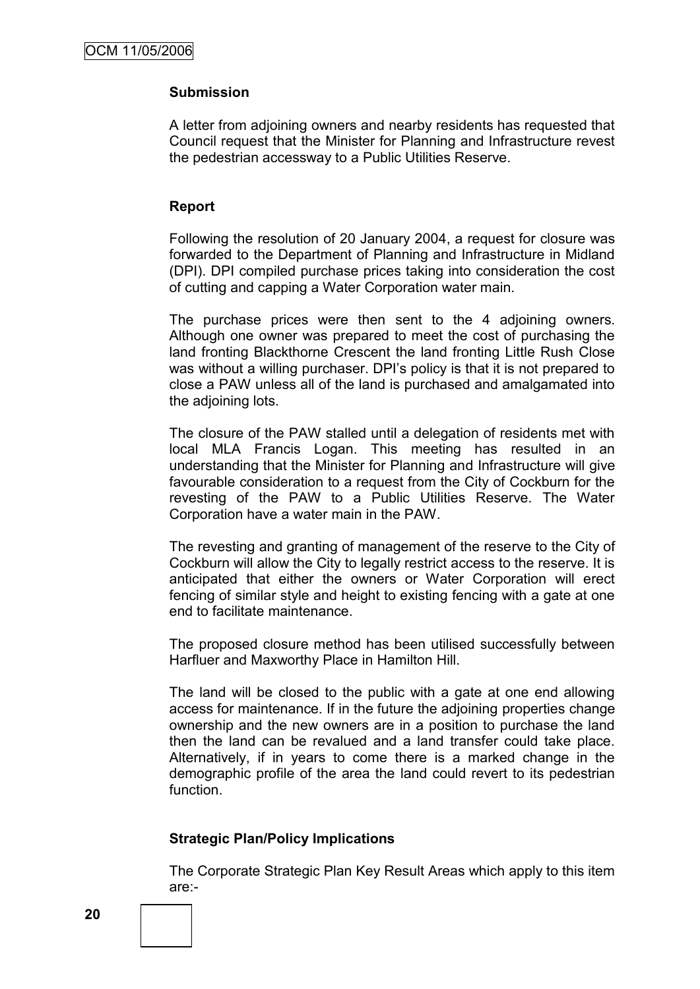# **Submission**

A letter from adjoining owners and nearby residents has requested that Council request that the Minister for Planning and Infrastructure revest the pedestrian accessway to a Public Utilities Reserve.

# **Report**

Following the resolution of 20 January 2004, a request for closure was forwarded to the Department of Planning and Infrastructure in Midland (DPI). DPI compiled purchase prices taking into consideration the cost of cutting and capping a Water Corporation water main.

The purchase prices were then sent to the 4 adjoining owners. Although one owner was prepared to meet the cost of purchasing the land fronting Blackthorne Crescent the land fronting Little Rush Close was without a willing purchaser. DPI's policy is that it is not prepared to close a PAW unless all of the land is purchased and amalgamated into the adjoining lots.

The closure of the PAW stalled until a delegation of residents met with local MLA Francis Logan. This meeting has resulted in an understanding that the Minister for Planning and Infrastructure will give favourable consideration to a request from the City of Cockburn for the revesting of the PAW to a Public Utilities Reserve. The Water Corporation have a water main in the PAW.

The revesting and granting of management of the reserve to the City of Cockburn will allow the City to legally restrict access to the reserve. It is anticipated that either the owners or Water Corporation will erect fencing of similar style and height to existing fencing with a gate at one end to facilitate maintenance.

The proposed closure method has been utilised successfully between Harfluer and Maxworthy Place in Hamilton Hill.

The land will be closed to the public with a gate at one end allowing access for maintenance. If in the future the adjoining properties change ownership and the new owners are in a position to purchase the land then the land can be revalued and a land transfer could take place. Alternatively, if in years to come there is a marked change in the demographic profile of the area the land could revert to its pedestrian function.

# **Strategic Plan/Policy Implications**

The Corporate Strategic Plan Key Result Areas which apply to this item are:-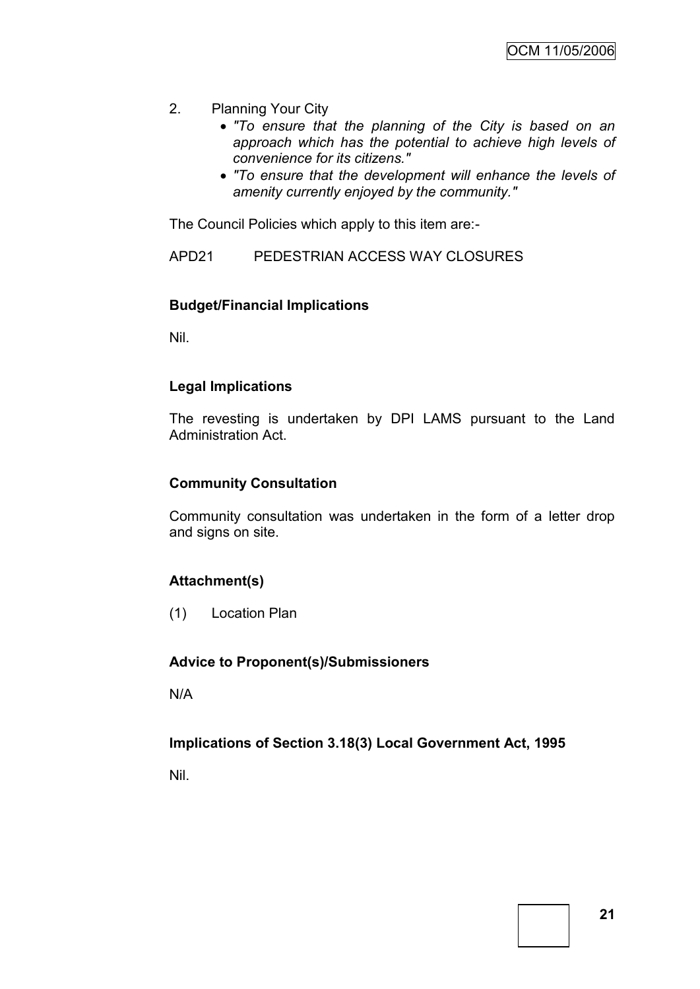- 2. Planning Your City
	- *"To ensure that the planning of the City is based on an approach which has the potential to achieve high levels of convenience for its citizens."*
	- *"To ensure that the development will enhance the levels of amenity currently enjoyed by the community."*

The Council Policies which apply to this item are:-

APD21 PEDESTRIAN ACCESS WAY CLOSURES

# **Budget/Financial Implications**

Nil.

# **Legal Implications**

The revesting is undertaken by DPI LAMS pursuant to the Land Administration Act.

# **Community Consultation**

Community consultation was undertaken in the form of a letter drop and signs on site.

# **Attachment(s)**

(1) Location Plan

# **Advice to Proponent(s)/Submissioners**

N/A

# **Implications of Section 3.18(3) Local Government Act, 1995**

Nil.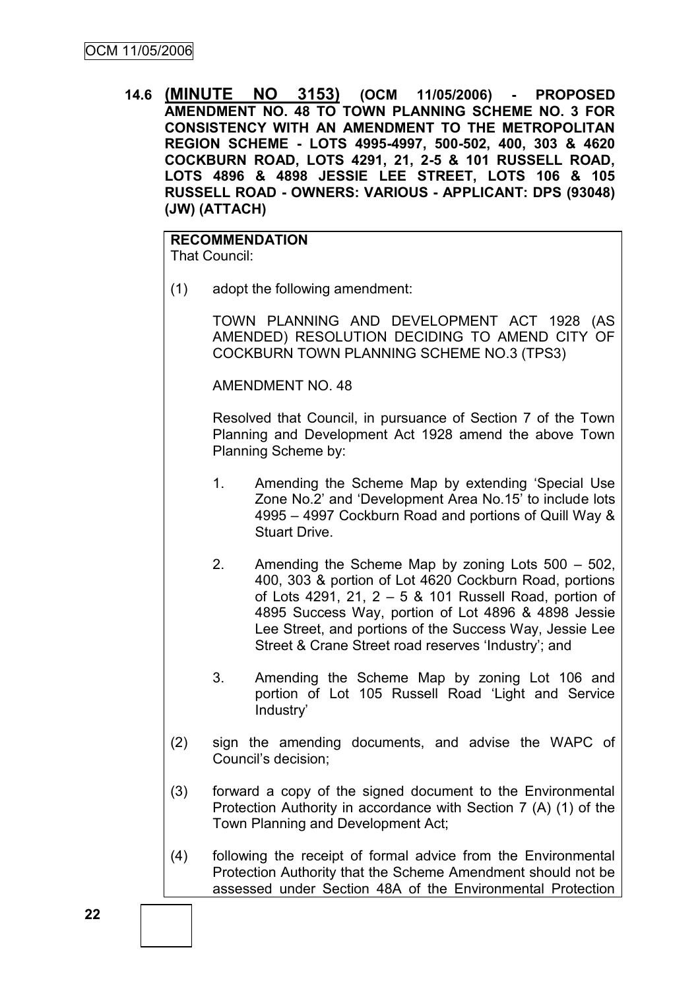**14.6 (MINUTE NO 3153) (OCM 11/05/2006) - PROPOSED AMENDMENT NO. 48 TO TOWN PLANNING SCHEME NO. 3 FOR CONSISTENCY WITH AN AMENDMENT TO THE METROPOLITAN REGION SCHEME - LOTS 4995-4997, 500-502, 400, 303 & 4620 COCKBURN ROAD, LOTS 4291, 21, 2-5 & 101 RUSSELL ROAD, LOTS 4896 & 4898 JESSIE LEE STREET, LOTS 106 & 105 RUSSELL ROAD - OWNERS: VARIOUS - APPLICANT: DPS (93048) (JW) (ATTACH)**

**RECOMMENDATION** That Council:

(1) adopt the following amendment:

TOWN PLANNING AND DEVELOPMENT ACT 1928 (AS AMENDED) RESOLUTION DECIDING TO AMEND CITY OF COCKBURN TOWN PLANNING SCHEME NO.3 (TPS3)

AMENDMENT NO. 48

Resolved that Council, in pursuance of Section 7 of the Town Planning and Development Act 1928 amend the above Town Planning Scheme by:

- 1. Amending the Scheme Map by extending 'Special Use Zone No.2' and 'Development Area No.15' to include lots 4995 – 4997 Cockburn Road and portions of Quill Way & Stuart Drive.
- 2. Amending the Scheme Map by zoning Lots 500 502, 400, 303 & portion of Lot 4620 Cockburn Road, portions of Lots 4291, 21, 2 – 5 & 101 Russell Road, portion of 4895 Success Way, portion of Lot 4896 & 4898 Jessie Lee Street, and portions of the Success Way, Jessie Lee Street & Crane Street road reserves 'Industry'; and
- 3. Amending the Scheme Map by zoning Lot 106 and portion of Lot 105 Russell Road 'Light and Service Industry'
- (2) sign the amending documents, and advise the WAPC of Council's decision;
- (3) forward a copy of the signed document to the Environmental Protection Authority in accordance with Section 7 (A) (1) of the Town Planning and Development Act;
- (4) following the receipt of formal advice from the Environmental Protection Authority that the Scheme Amendment should not be assessed under Section 48A of the Environmental Protection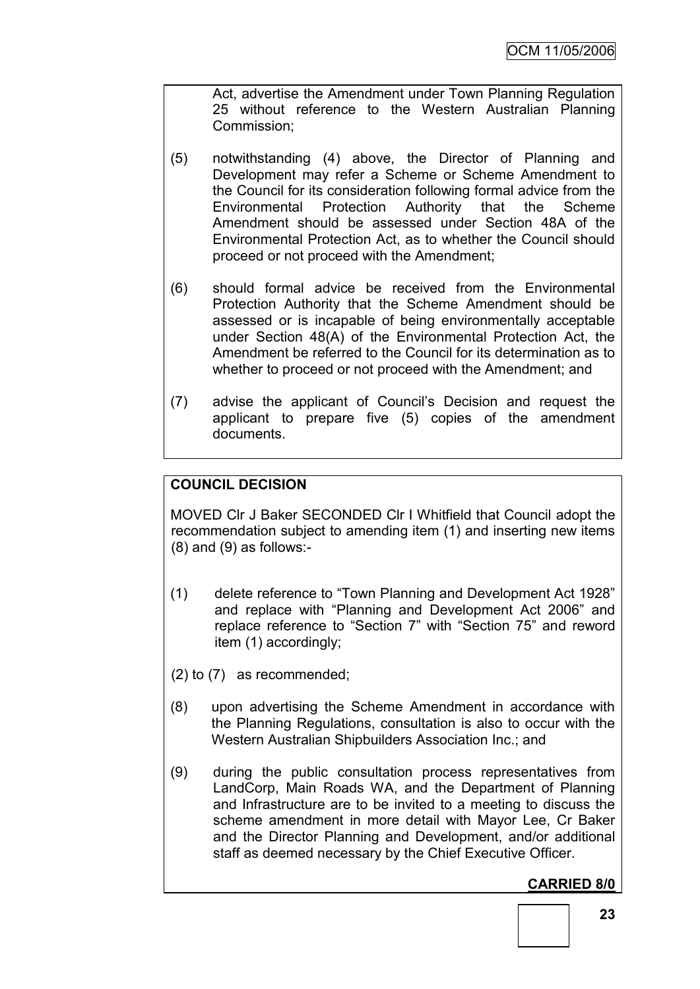Act, advertise the Amendment under Town Planning Regulation 25 without reference to the Western Australian Planning Commission;

- (5) notwithstanding (4) above, the Director of Planning and Development may refer a Scheme or Scheme Amendment to the Council for its consideration following formal advice from the Environmental Protection Authority that the Scheme Amendment should be assessed under Section 48A of the Environmental Protection Act, as to whether the Council should proceed or not proceed with the Amendment;
- (6) should formal advice be received from the Environmental Protection Authority that the Scheme Amendment should be assessed or is incapable of being environmentally acceptable under Section 48(A) of the Environmental Protection Act, the Amendment be referred to the Council for its determination as to whether to proceed or not proceed with the Amendment; and
- (7) advise the applicant of Council's Decision and request the applicant to prepare five (5) copies of the amendment documents.

# **COUNCIL DECISION**

MOVED Clr J Baker SECONDED Clr I Whitfield that Council adopt the recommendation subject to amending item (1) and inserting new items (8) and (9) as follows:-

- (1) delete reference to "Town Planning and Development Act 1928" and replace with "Planning and Development Act 2006" and replace reference to "Section 7" with "Section 75" and reword item (1) accordingly;
- (2) to (7) as recommended;
- (8) upon advertising the Scheme Amendment in accordance with the Planning Regulations, consultation is also to occur with the Western Australian Shipbuilders Association Inc.; and
- (9) during the public consultation process representatives from LandCorp, Main Roads WA, and the Department of Planning and Infrastructure are to be invited to a meeting to discuss the scheme amendment in more detail with Mayor Lee, Cr Baker and the Director Planning and Development, and/or additional staff as deemed necessary by the Chief Executive Officer.

# **CARRIED 8/0**

**23**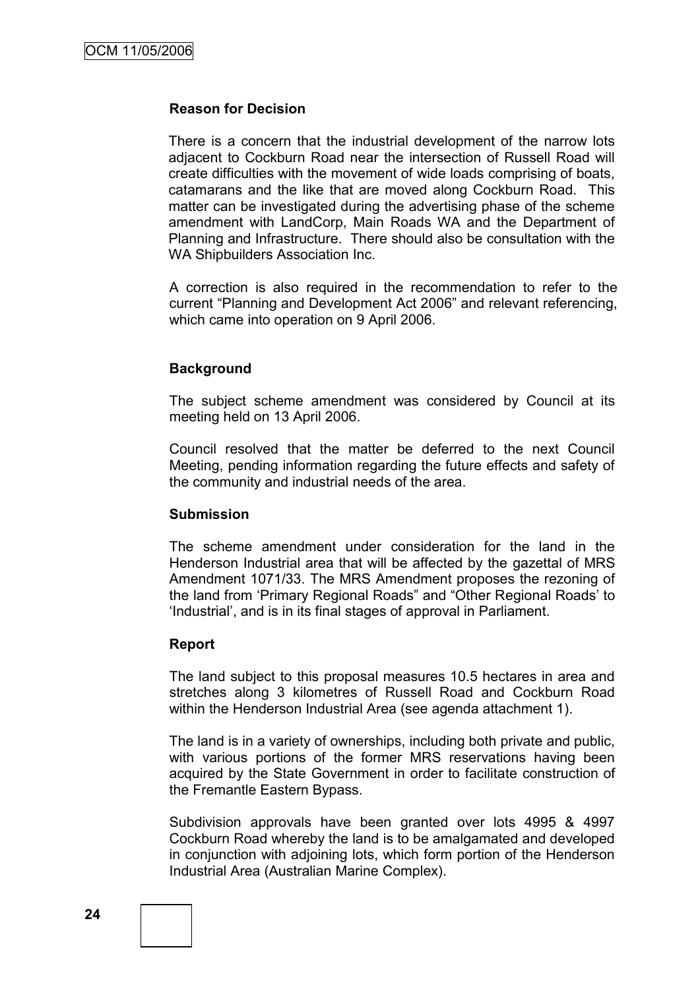### **Reason for Decision**

There is a concern that the industrial development of the narrow lots adjacent to Cockburn Road near the intersection of Russell Road will create difficulties with the movement of wide loads comprising of boats, catamarans and the like that are moved along Cockburn Road. This matter can be investigated during the advertising phase of the scheme amendment with LandCorp, Main Roads WA and the Department of Planning and Infrastructure. There should also be consultation with the WA Shipbuilders Association Inc.

A correction is also required in the recommendation to refer to the current "Planning and Development Act 2006" and relevant referencing, which came into operation on 9 April 2006.

# **Background**

The subject scheme amendment was considered by Council at its meeting held on 13 April 2006.

Council resolved that the matter be deferred to the next Council Meeting, pending information regarding the future effects and safety of the community and industrial needs of the area.

#### **Submission**

The scheme amendment under consideration for the land in the Henderson Industrial area that will be affected by the gazettal of MRS Amendment 1071/33. The MRS Amendment proposes the rezoning of the land from 'Primary Regional Roads" and "Other Regional Roads' to 'Industrial', and is in its final stages of approval in Parliament.

#### **Report**

The land subject to this proposal measures 10.5 hectares in area and stretches along 3 kilometres of Russell Road and Cockburn Road within the Henderson Industrial Area (see agenda attachment 1).

The land is in a variety of ownerships, including both private and public, with various portions of the former MRS reservations having been acquired by the State Government in order to facilitate construction of the Fremantle Eastern Bypass.

Subdivision approvals have been granted over lots 4995 & 4997 Cockburn Road whereby the land is to be amalgamated and developed in conjunction with adjoining lots, which form portion of the Henderson Industrial Area (Australian Marine Complex).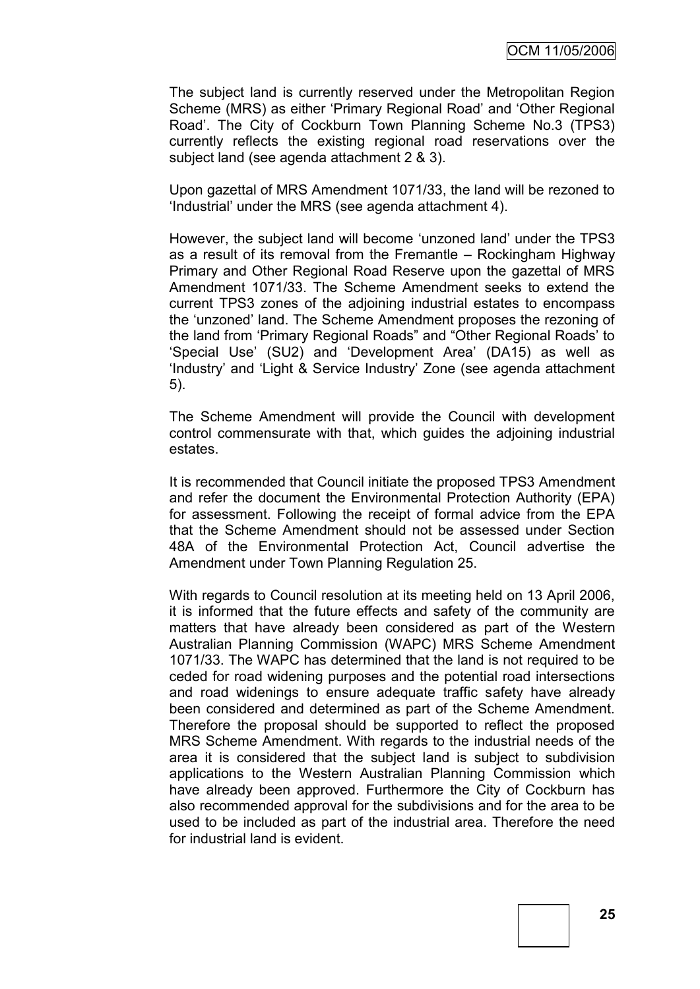The subject land is currently reserved under the Metropolitan Region Scheme (MRS) as either 'Primary Regional Road' and 'Other Regional Road'. The City of Cockburn Town Planning Scheme No.3 (TPS3) currently reflects the existing regional road reservations over the subject land (see agenda attachment 2 & 3).

Upon gazettal of MRS Amendment 1071/33, the land will be rezoned to 'Industrial' under the MRS (see agenda attachment 4).

However, the subject land will become 'unzoned land' under the TPS3 as a result of its removal from the Fremantle – Rockingham Highway Primary and Other Regional Road Reserve upon the gazettal of MRS Amendment 1071/33. The Scheme Amendment seeks to extend the current TPS3 zones of the adjoining industrial estates to encompass the 'unzoned' land. The Scheme Amendment proposes the rezoning of the land from 'Primary Regional Roads" and "Other Regional Roads' to 'Special Use' (SU2) and 'Development Area' (DA15) as well as 'Industry' and 'Light & Service Industry' Zone (see agenda attachment 5).

The Scheme Amendment will provide the Council with development control commensurate with that, which guides the adjoining industrial estates.

It is recommended that Council initiate the proposed TPS3 Amendment and refer the document the Environmental Protection Authority (EPA) for assessment. Following the receipt of formal advice from the EPA that the Scheme Amendment should not be assessed under Section 48A of the Environmental Protection Act, Council advertise the Amendment under Town Planning Regulation 25.

With regards to Council resolution at its meeting held on 13 April 2006, it is informed that the future effects and safety of the community are matters that have already been considered as part of the Western Australian Planning Commission (WAPC) MRS Scheme Amendment 1071/33. The WAPC has determined that the land is not required to be ceded for road widening purposes and the potential road intersections and road widenings to ensure adequate traffic safety have already been considered and determined as part of the Scheme Amendment. Therefore the proposal should be supported to reflect the proposed MRS Scheme Amendment. With regards to the industrial needs of the area it is considered that the subject land is subject to subdivision applications to the Western Australian Planning Commission which have already been approved. Furthermore the City of Cockburn has also recommended approval for the subdivisions and for the area to be used to be included as part of the industrial area. Therefore the need for industrial land is evident.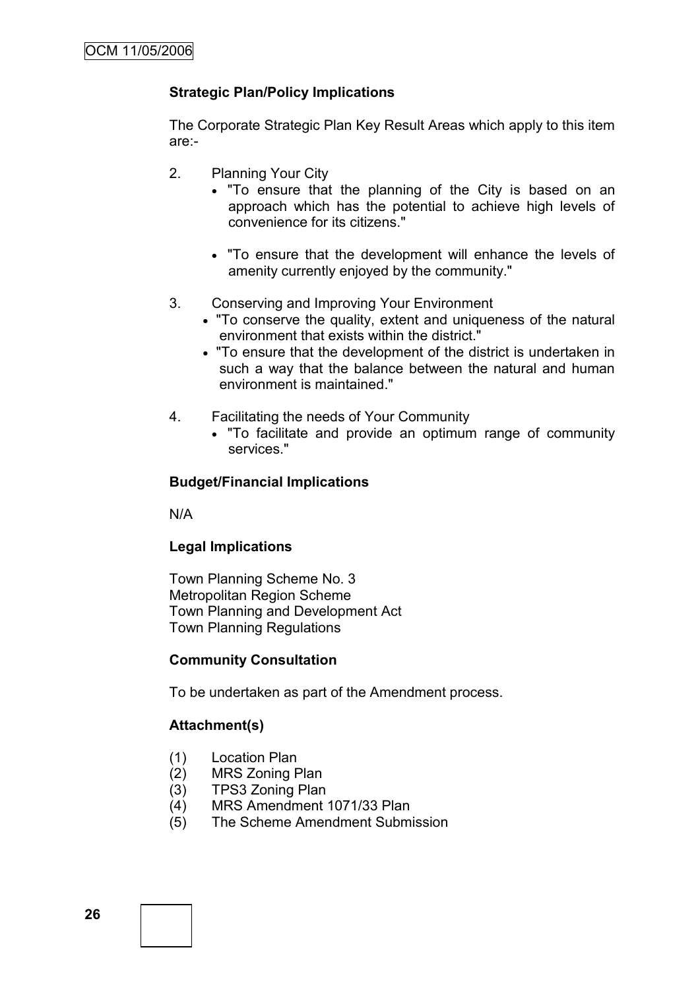# **Strategic Plan/Policy Implications**

The Corporate Strategic Plan Key Result Areas which apply to this item are:-

- 2. Planning Your City
	- "To ensure that the planning of the City is based on an approach which has the potential to achieve high levels of convenience for its citizens."
	- "To ensure that the development will enhance the levels of amenity currently enjoyed by the community."
- 3. Conserving and Improving Your Environment
	- "To conserve the quality, extent and uniqueness of the natural environment that exists within the district."
	- "To ensure that the development of the district is undertaken in such a way that the balance between the natural and human environment is maintained."
- 4. Facilitating the needs of Your Community
	- "To facilitate and provide an optimum range of community services."

# **Budget/Financial Implications**

N/A

# **Legal Implications**

Town Planning Scheme No. 3 Metropolitan Region Scheme Town Planning and Development Act Town Planning Regulations

# **Community Consultation**

To be undertaken as part of the Amendment process.

# **Attachment(s)**

- (1) Location Plan
- (2) MRS Zoning Plan
- (3) TPS3 Zoning Plan
- (4) MRS Amendment 1071/33 Plan
- (5) The Scheme Amendment Submission

**26**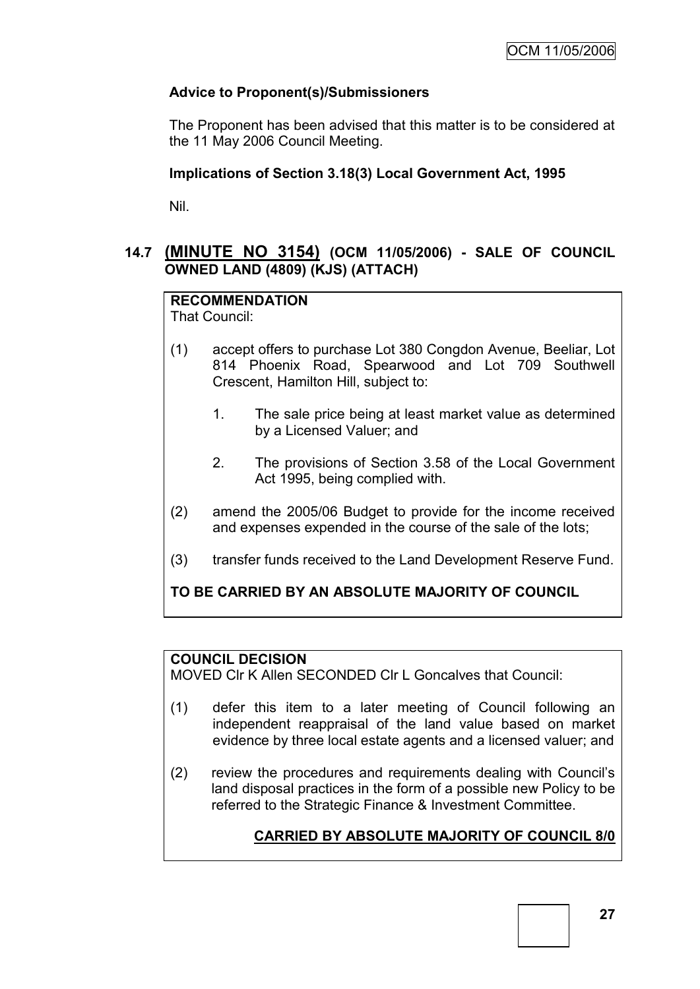# **Advice to Proponent(s)/Submissioners**

The Proponent has been advised that this matter is to be considered at the 11 May 2006 Council Meeting.

# **Implications of Section 3.18(3) Local Government Act, 1995**

Nil.

# **14.7 (MINUTE NO 3154) (OCM 11/05/2006) - SALE OF COUNCIL OWNED LAND (4809) (KJS) (ATTACH)**

# **RECOMMENDATION**

That Council:

- (1) accept offers to purchase Lot 380 Congdon Avenue, Beeliar, Lot 814 Phoenix Road, Spearwood and Lot 709 Southwell Crescent, Hamilton Hill, subject to:
	- 1. The sale price being at least market value as determined by a Licensed Valuer; and
	- 2. The provisions of Section 3.58 of the Local Government Act 1995, being complied with.
- (2) amend the 2005/06 Budget to provide for the income received and expenses expended in the course of the sale of the lots;
- (3) transfer funds received to the Land Development Reserve Fund.

**TO BE CARRIED BY AN ABSOLUTE MAJORITY OF COUNCIL**

# **COUNCIL DECISION**

MOVED Clr K Allen SECONDED Clr L Goncalves that Council:

- (1) defer this item to a later meeting of Council following an independent reappraisal of the land value based on market evidence by three local estate agents and a licensed valuer; and
- (2) review the procedures and requirements dealing with Council's land disposal practices in the form of a possible new Policy to be referred to the Strategic Finance & Investment Committee.

# **CARRIED BY ABSOLUTE MAJORITY OF COUNCIL 8/0**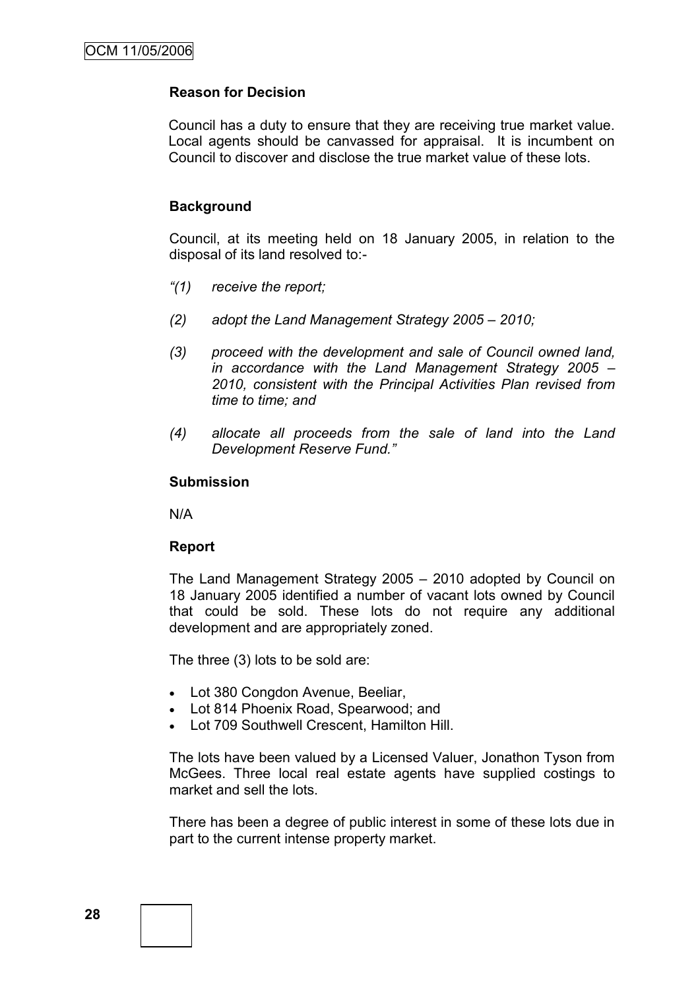# **Reason for Decision**

Council has a duty to ensure that they are receiving true market value. Local agents should be canvassed for appraisal. It is incumbent on Council to discover and disclose the true market value of these lots.

### **Background**

Council, at its meeting held on 18 January 2005, in relation to the disposal of its land resolved to:-

- *"(1) receive the report;*
- *(2) adopt the Land Management Strategy 2005 – 2010;*
- *(3) proceed with the development and sale of Council owned land, in accordance with the Land Management Strategy 2005 – 2010, consistent with the Principal Activities Plan revised from time to time; and*
- *(4) allocate all proceeds from the sale of land into the Land Development Reserve Fund."*

#### **Submission**

N/A

#### **Report**

The Land Management Strategy 2005 – 2010 adopted by Council on 18 January 2005 identified a number of vacant lots owned by Council that could be sold. These lots do not require any additional development and are appropriately zoned.

The three (3) lots to be sold are:

- Lot 380 Congdon Avenue, Beeliar,
- Lot 814 Phoenix Road, Spearwood; and
- Lot 709 Southwell Crescent, Hamilton Hill.

The lots have been valued by a Licensed Valuer, Jonathon Tyson from McGees. Three local real estate agents have supplied costings to market and sell the lots.

There has been a degree of public interest in some of these lots due in part to the current intense property market.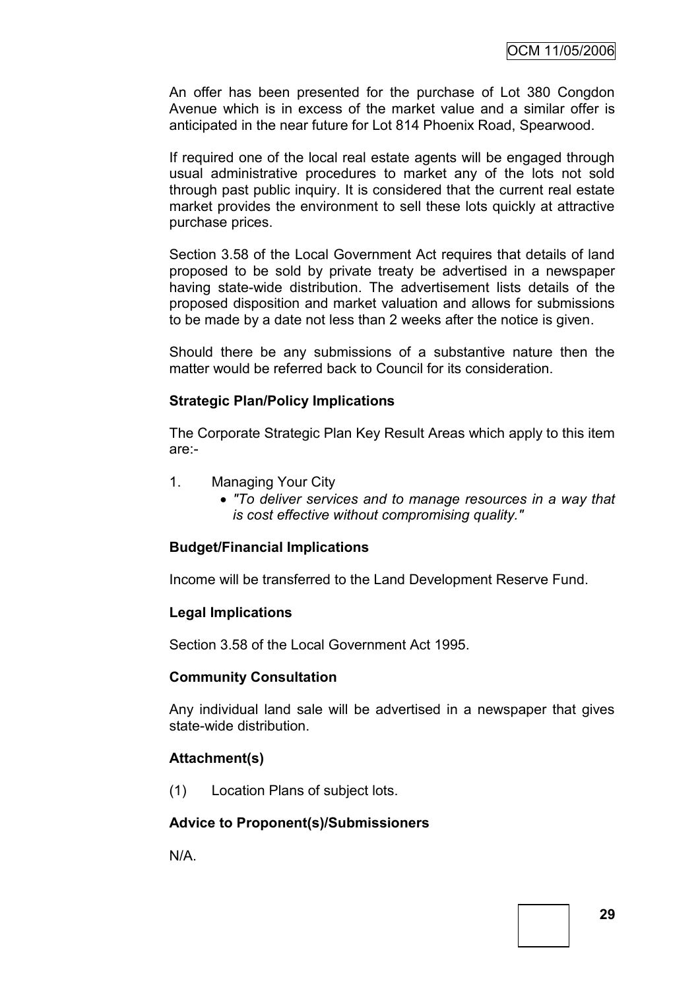An offer has been presented for the purchase of Lot 380 Congdon Avenue which is in excess of the market value and a similar offer is anticipated in the near future for Lot 814 Phoenix Road, Spearwood.

If required one of the local real estate agents will be engaged through usual administrative procedures to market any of the lots not sold through past public inquiry. It is considered that the current real estate market provides the environment to sell these lots quickly at attractive purchase prices.

Section 3.58 of the Local Government Act requires that details of land proposed to be sold by private treaty be advertised in a newspaper having state-wide distribution. The advertisement lists details of the proposed disposition and market valuation and allows for submissions to be made by a date not less than 2 weeks after the notice is given.

Should there be any submissions of a substantive nature then the matter would be referred back to Council for its consideration.

### **Strategic Plan/Policy Implications**

The Corporate Strategic Plan Key Result Areas which apply to this item are:-

- 1. Managing Your City
	- *"To deliver services and to manage resources in a way that is cost effective without compromising quality."*

# **Budget/Financial Implications**

Income will be transferred to the Land Development Reserve Fund.

# **Legal Implications**

Section 3.58 of the Local Government Act 1995.

# **Community Consultation**

Any individual land sale will be advertised in a newspaper that gives state-wide distribution.

# **Attachment(s)**

(1) Location Plans of subject lots.

# **Advice to Proponent(s)/Submissioners**

N/A.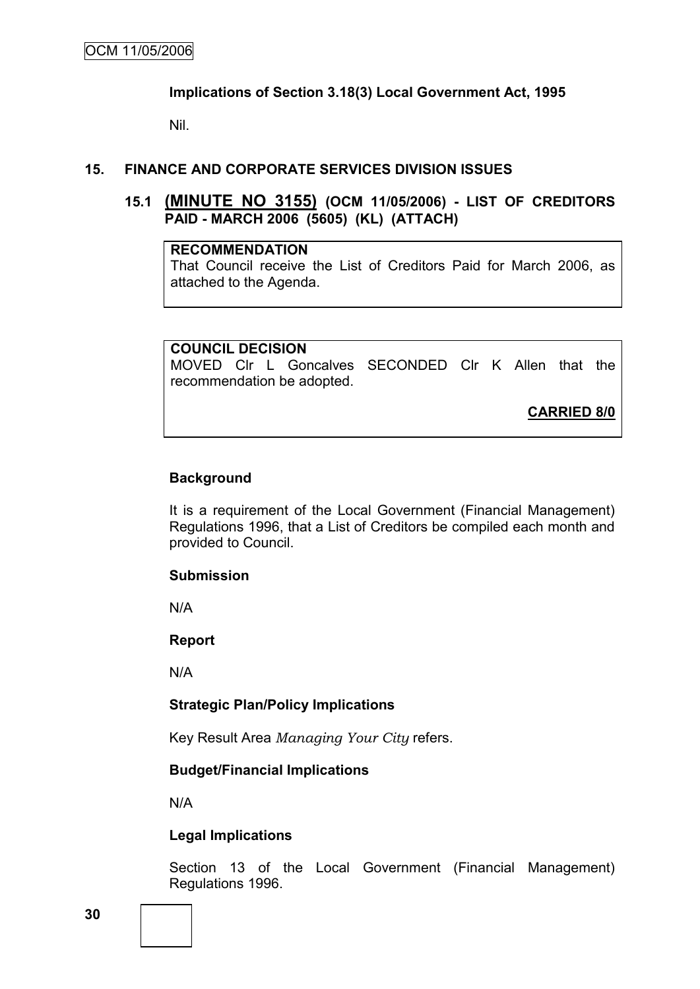### **Implications of Section 3.18(3) Local Government Act, 1995**

Nil.

# **15. FINANCE AND CORPORATE SERVICES DIVISION ISSUES**

# **15.1 (MINUTE NO 3155) (OCM 11/05/2006) - LIST OF CREDITORS PAID - MARCH 2006 (5605) (KL) (ATTACH)**

# **RECOMMENDATION**

That Council receive the List of Creditors Paid for March 2006, as attached to the Agenda.

# **COUNCIL DECISION**

MOVED Clr L Goncalves SECONDED Clr K Allen that the recommendation be adopted.

**CARRIED 8/0**

# **Background**

It is a requirement of the Local Government (Financial Management) Regulations 1996, that a List of Creditors be compiled each month and provided to Council.

# **Submission**

N/A

**Report**

N/A

# **Strategic Plan/Policy Implications**

Key Result Area *Managing Your City* refers.

# **Budget/Financial Implications**

N/A

# **Legal Implications**

Section 13 of the Local Government (Financial Management) Regulations 1996.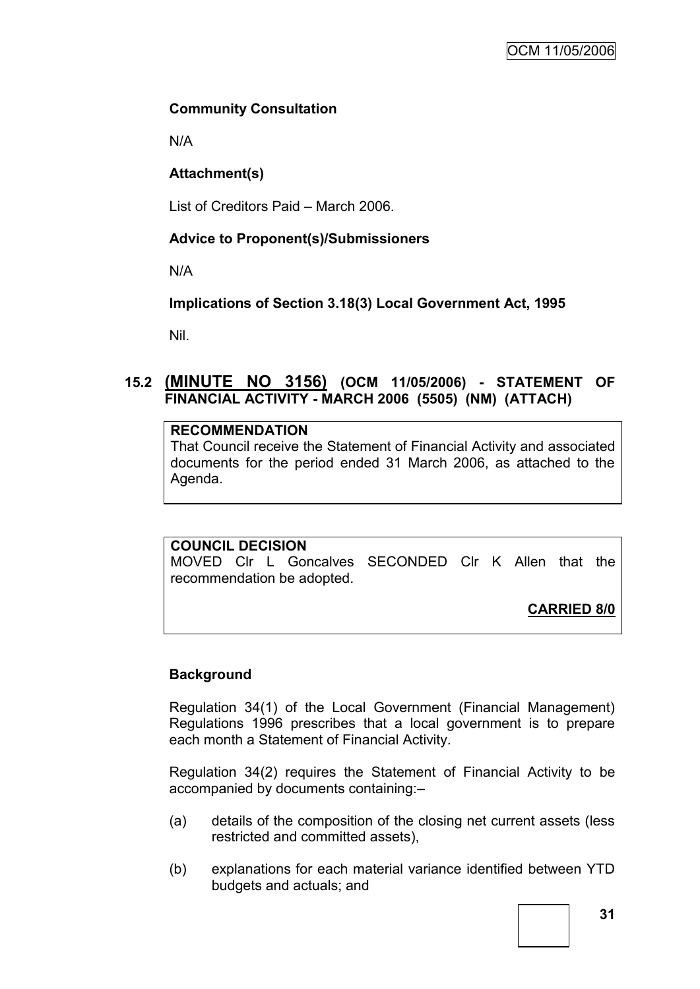# **Community Consultation**

N/A

# **Attachment(s)**

List of Creditors Paid – March 2006.

# **Advice to Proponent(s)/Submissioners**

N/A

**Implications of Section 3.18(3) Local Government Act, 1995**

Nil.

# **15.2 (MINUTE NO 3156) (OCM 11/05/2006) - STATEMENT OF FINANCIAL ACTIVITY - MARCH 2006 (5505) (NM) (ATTACH)**

# **RECOMMENDATION**

That Council receive the Statement of Financial Activity and associated documents for the period ended 31 March 2006, as attached to the Agenda.

# **COUNCIL DECISION**

MOVED Clr L Goncalves SECONDED Clr K Allen that the recommendation be adopted.

**CARRIED 8/0**

# **Background**

Regulation 34(1) of the Local Government (Financial Management) Regulations 1996 prescribes that a local government is to prepare each month a Statement of Financial Activity.

Regulation 34(2) requires the Statement of Financial Activity to be accompanied by documents containing:–

- (a) details of the composition of the closing net current assets (less restricted and committed assets),
- (b) explanations for each material variance identified between YTD budgets and actuals; and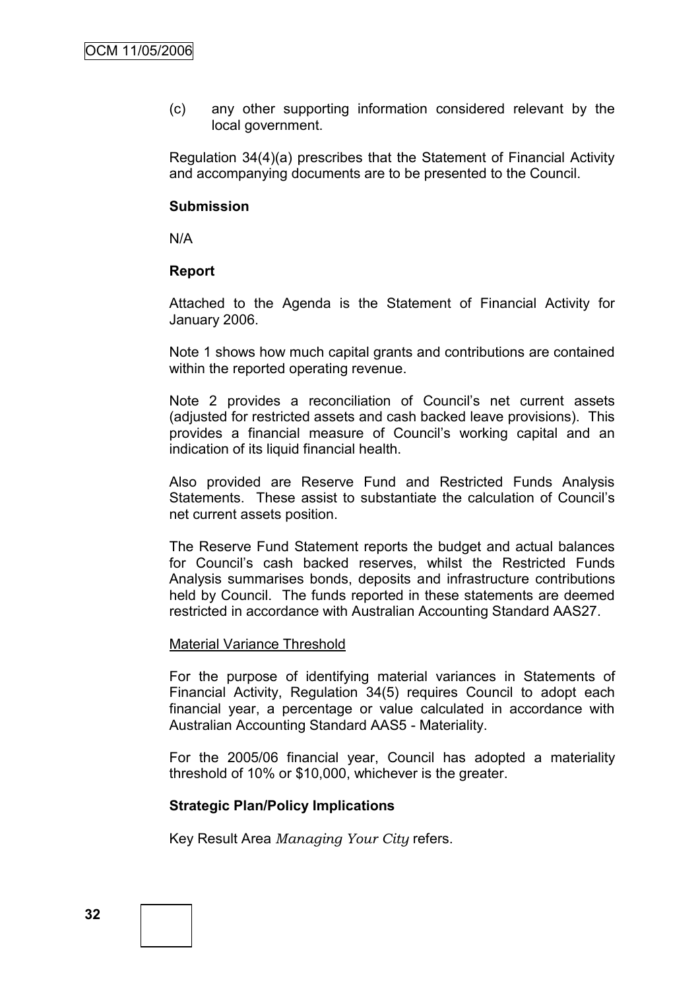(c) any other supporting information considered relevant by the local government.

Regulation 34(4)(a) prescribes that the Statement of Financial Activity and accompanying documents are to be presented to the Council.

#### **Submission**

N/A

#### **Report**

Attached to the Agenda is the Statement of Financial Activity for January 2006.

Note 1 shows how much capital grants and contributions are contained within the reported operating revenue.

Note 2 provides a reconciliation of Council's net current assets (adjusted for restricted assets and cash backed leave provisions). This provides a financial measure of Council's working capital and an indication of its liquid financial health.

Also provided are Reserve Fund and Restricted Funds Analysis Statements. These assist to substantiate the calculation of Council's net current assets position.

The Reserve Fund Statement reports the budget and actual balances for Council's cash backed reserves, whilst the Restricted Funds Analysis summarises bonds, deposits and infrastructure contributions held by Council. The funds reported in these statements are deemed restricted in accordance with Australian Accounting Standard AAS27.

#### Material Variance Threshold

For the purpose of identifying material variances in Statements of Financial Activity, Regulation 34(5) requires Council to adopt each financial year, a percentage or value calculated in accordance with Australian Accounting Standard AAS5 - Materiality.

For the 2005/06 financial year, Council has adopted a materiality threshold of 10% or \$10,000, whichever is the greater.

#### **Strategic Plan/Policy Implications**

Key Result Area *Managing Your City* refers.

**32**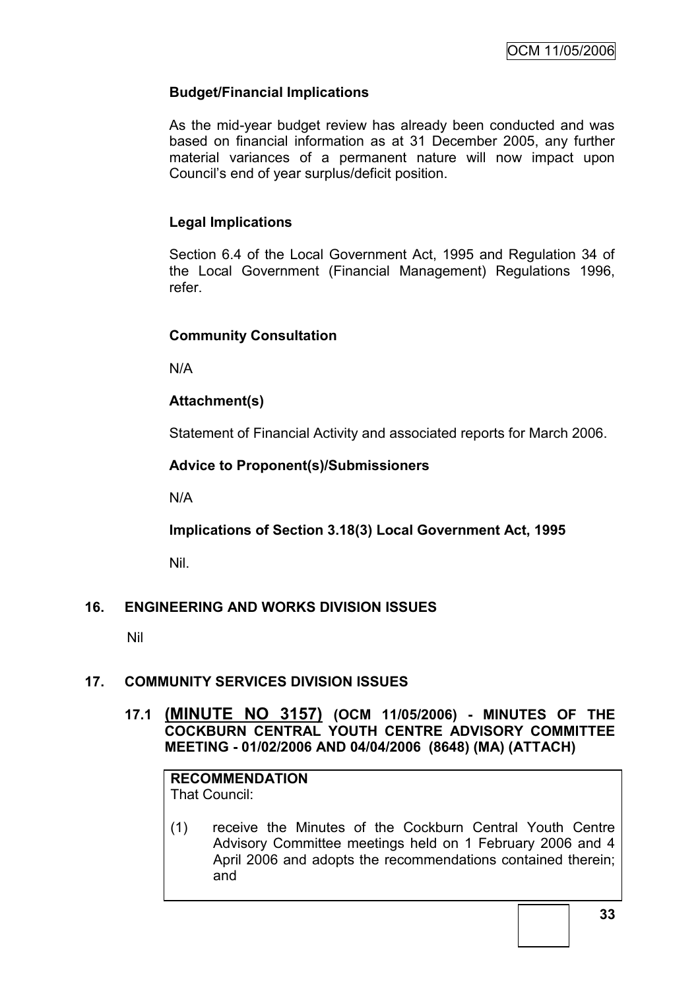# **Budget/Financial Implications**

As the mid-year budget review has already been conducted and was based on financial information as at 31 December 2005, any further material variances of a permanent nature will now impact upon Council's end of year surplus/deficit position.

# **Legal Implications**

Section 6.4 of the Local Government Act, 1995 and Regulation 34 of the Local Government (Financial Management) Regulations 1996, refer.

# **Community Consultation**

N/A

# **Attachment(s)**

Statement of Financial Activity and associated reports for March 2006.

# **Advice to Proponent(s)/Submissioners**

N/A

**Implications of Section 3.18(3) Local Government Act, 1995**

Nil.

# **16. ENGINEERING AND WORKS DIVISION ISSUES**

Nil

# **17. COMMUNITY SERVICES DIVISION ISSUES**

# **17.1 (MINUTE NO 3157) (OCM 11/05/2006) - MINUTES OF THE COCKBURN CENTRAL YOUTH CENTRE ADVISORY COMMITTEE MEETING - 01/02/2006 AND 04/04/2006 (8648) (MA) (ATTACH)**

#### **RECOMMENDATION** That Council:

(1) receive the Minutes of the Cockburn Central Youth Centre Advisory Committee meetings held on 1 February 2006 and 4 April 2006 and adopts the recommendations contained therein; and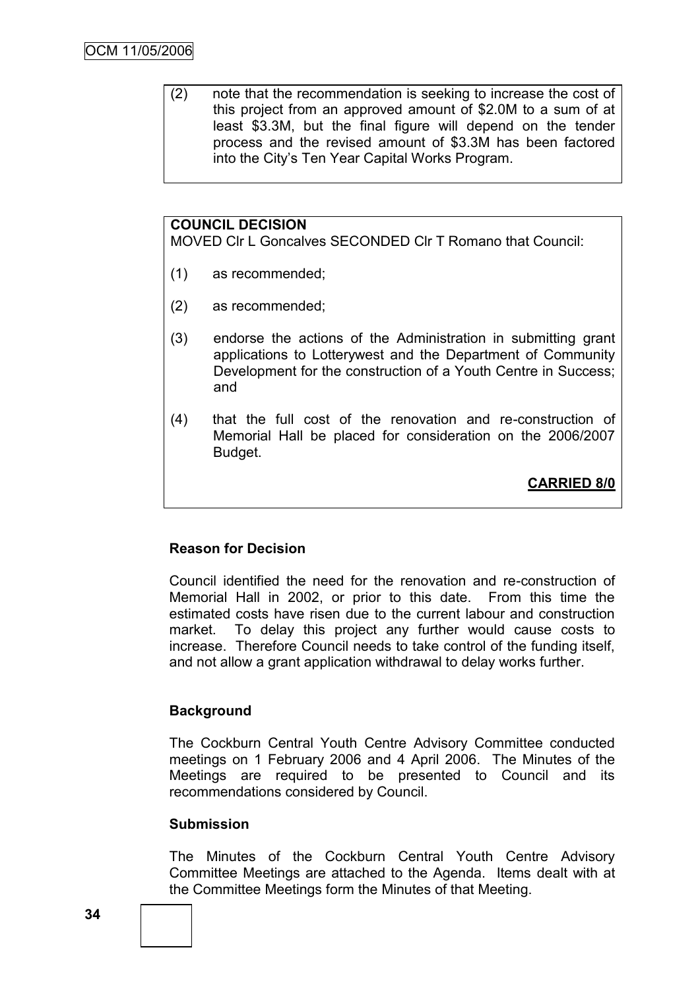(2) note that the recommendation is seeking to increase the cost of this project from an approved amount of \$2.0M to a sum of at least \$3.3M, but the final figure will depend on the tender process and the revised amount of \$3.3M has been factored into the City's Ten Year Capital Works Program.

# **COUNCIL DECISION**

MOVED Clr L Goncalves SECONDED Clr T Romano that Council:

- (1) as recommended;
- (2) as recommended;
- (3) endorse the actions of the Administration in submitting grant applications to Lotterywest and the Department of Community Development for the construction of a Youth Centre in Success; and
- (4) that the full cost of the renovation and re-construction of Memorial Hall be placed for consideration on the 2006/2007 Budget.

**CARRIED 8/0**

# **Reason for Decision**

Council identified the need for the renovation and re-construction of Memorial Hall in 2002, or prior to this date. From this time the estimated costs have risen due to the current labour and construction market. To delay this project any further would cause costs to increase. Therefore Council needs to take control of the funding itself, and not allow a grant application withdrawal to delay works further.

# **Background**

The Cockburn Central Youth Centre Advisory Committee conducted meetings on 1 February 2006 and 4 April 2006. The Minutes of the Meetings are required to be presented to Council and its recommendations considered by Council.

#### **Submission**

The Minutes of the Cockburn Central Youth Centre Advisory Committee Meetings are attached to the Agenda. Items dealt with at the Committee Meetings form the Minutes of that Meeting.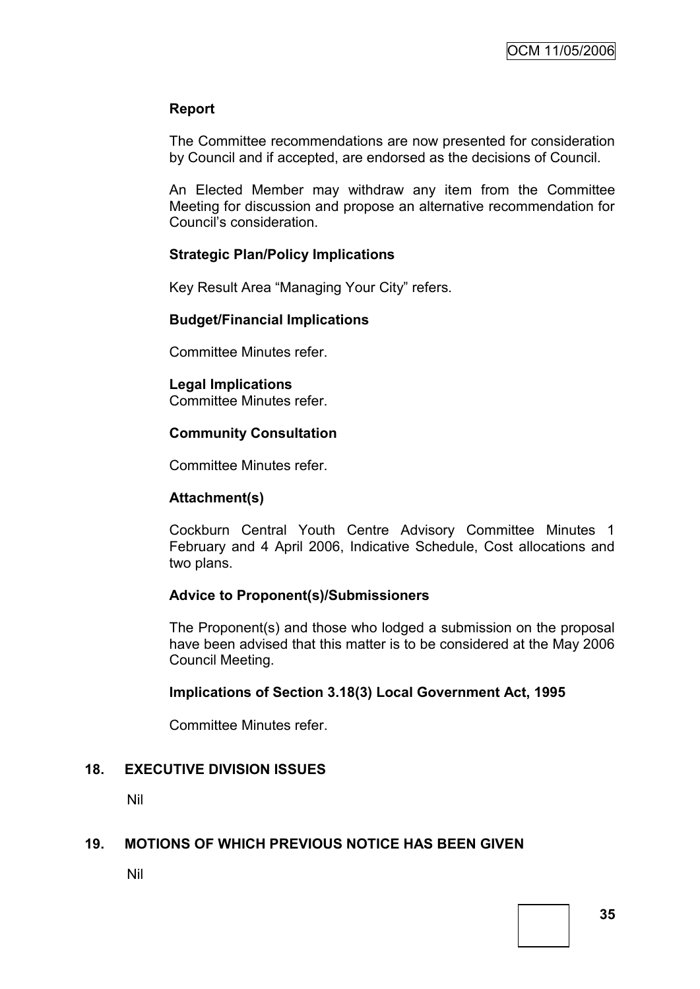# **Report**

The Committee recommendations are now presented for consideration by Council and if accepted, are endorsed as the decisions of Council.

An Elected Member may withdraw any item from the Committee Meeting for discussion and propose an alternative recommendation for Council's consideration.

# **Strategic Plan/Policy Implications**

Key Result Area "Managing Your City" refers.

# **Budget/Financial Implications**

Committee Minutes refer.

# **Legal Implications**

Committee Minutes refer.

# **Community Consultation**

Committee Minutes refer.

# **Attachment(s)**

Cockburn Central Youth Centre Advisory Committee Minutes 1 February and 4 April 2006, Indicative Schedule, Cost allocations and two plans.

# **Advice to Proponent(s)/Submissioners**

The Proponent(s) and those who lodged a submission on the proposal have been advised that this matter is to be considered at the May 2006 Council Meeting.

# **Implications of Section 3.18(3) Local Government Act, 1995**

Committee Minutes refer.

# **18. EXECUTIVE DIVISION ISSUES**

Nil

# **19. MOTIONS OF WHICH PREVIOUS NOTICE HAS BEEN GIVEN**

Nil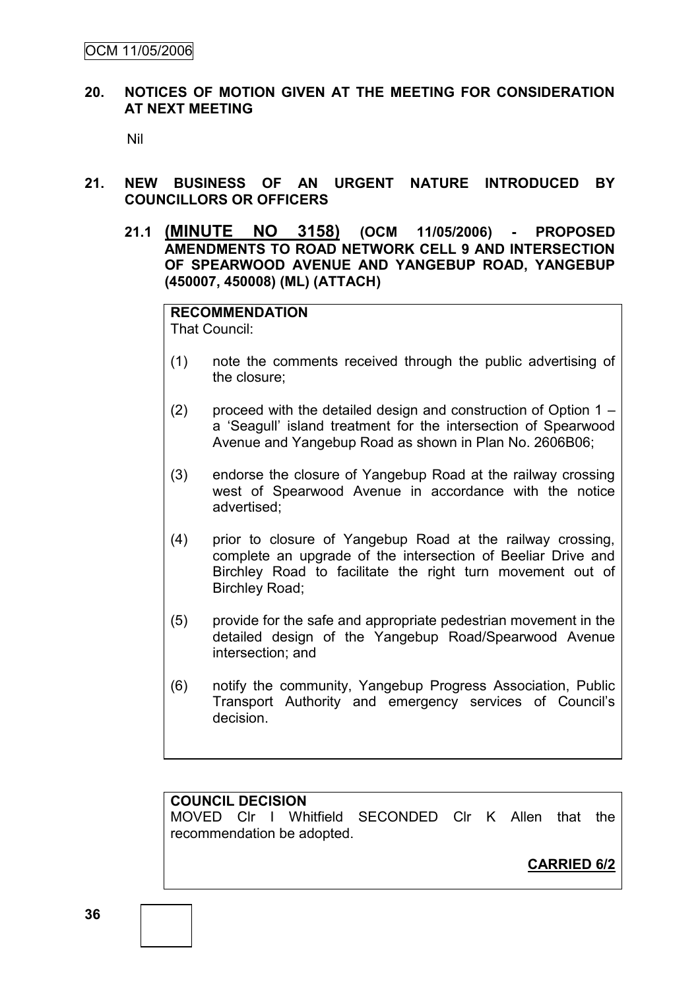### **20. NOTICES OF MOTION GIVEN AT THE MEETING FOR CONSIDERATION AT NEXT MEETING**

Nil

- **21. NEW BUSINESS OF AN URGENT NATURE INTRODUCED BY COUNCILLORS OR OFFICERS**
	- **21.1 (MINUTE NO 3158) (OCM 11/05/2006) - PROPOSED AMENDMENTS TO ROAD NETWORK CELL 9 AND INTERSECTION OF SPEARWOOD AVENUE AND YANGEBUP ROAD, YANGEBUP (450007, 450008) (ML) (ATTACH)**

**RECOMMENDATION** That Council:

- (1) note the comments received through the public advertising of the closure;
- (2) proceed with the detailed design and construction of Option  $1$ a 'Seagull' island treatment for the intersection of Spearwood Avenue and Yangebup Road as shown in Plan No. 2606B06;
- (3) endorse the closure of Yangebup Road at the railway crossing west of Spearwood Avenue in accordance with the notice advertised;
- (4) prior to closure of Yangebup Road at the railway crossing, complete an upgrade of the intersection of Beeliar Drive and Birchley Road to facilitate the right turn movement out of Birchley Road;
- (5) provide for the safe and appropriate pedestrian movement in the detailed design of the Yangebup Road/Spearwood Avenue intersection; and
- (6) notify the community, Yangebup Progress Association, Public Transport Authority and emergency services of Council's decision.

# **COUNCIL DECISION**

MOVED Clr I Whitfield SECONDED Clr K Allen that the recommendation be adopted.

**CARRIED 6/2**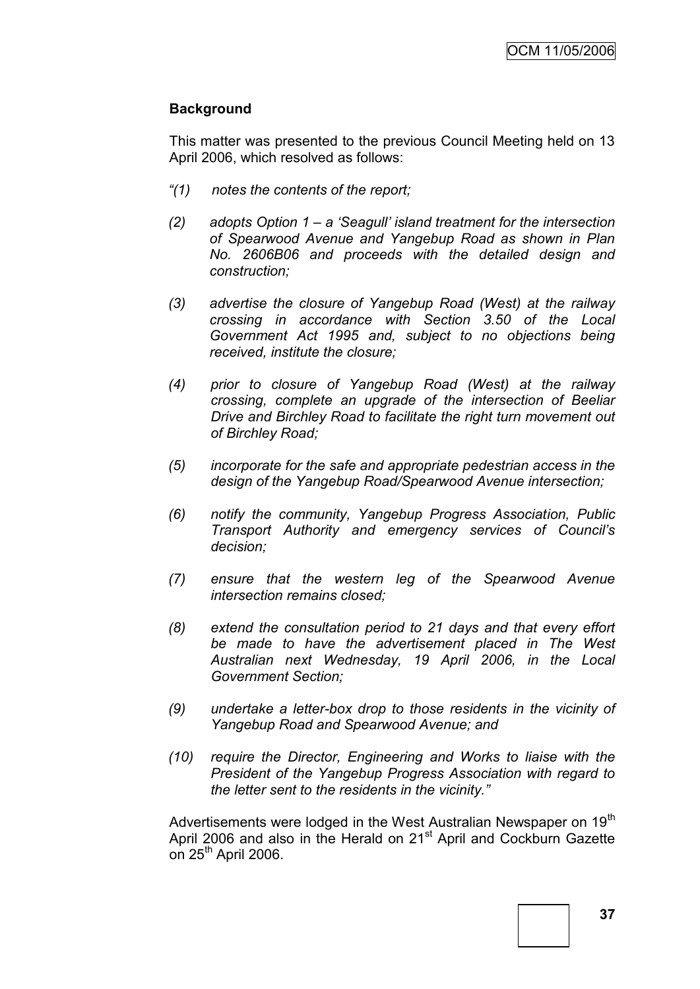# **Background**

This matter was presented to the previous Council Meeting held on 13 April 2006, which resolved as follows:

- *"(1) notes the contents of the report;*
- *(2) adopts Option 1 – a 'Seagull' island treatment for the intersection of Spearwood Avenue and Yangebup Road as shown in Plan No. 2606B06 and proceeds with the detailed design and construction;*
- *(3) advertise the closure of Yangebup Road (West) at the railway crossing in accordance with Section 3.50 of the Local Government Act 1995 and, subject to no objections being received, institute the closure;*
- *(4) prior to closure of Yangebup Road (West) at the railway crossing, complete an upgrade of the intersection of Beeliar Drive and Birchley Road to facilitate the right turn movement out of Birchley Road;*
- *(5) incorporate for the safe and appropriate pedestrian access in the design of the Yangebup Road/Spearwood Avenue intersection;*
- *(6) notify the community, Yangebup Progress Association, Public Transport Authority and emergency services of Council's decision;*
- *(7) ensure that the western leg of the Spearwood Avenue intersection remains closed;*
- *(8) extend the consultation period to 21 days and that every effort be made to have the advertisement placed in The West Australian next Wednesday, 19 April 2006, in the Local Government Section;*
- *(9) undertake a letter-box drop to those residents in the vicinity of Yangebup Road and Spearwood Avenue; and*
- *(10) require the Director, Engineering and Works to liaise with the President of the Yangebup Progress Association with regard to the letter sent to the residents in the vicinity."*

Advertisements were lodged in the West Australian Newspaper on 19<sup>th</sup> April 2006 and also in the Herald on 21<sup>st</sup> April and Cockburn Gazette on  $25<sup>th</sup>$  April 2006.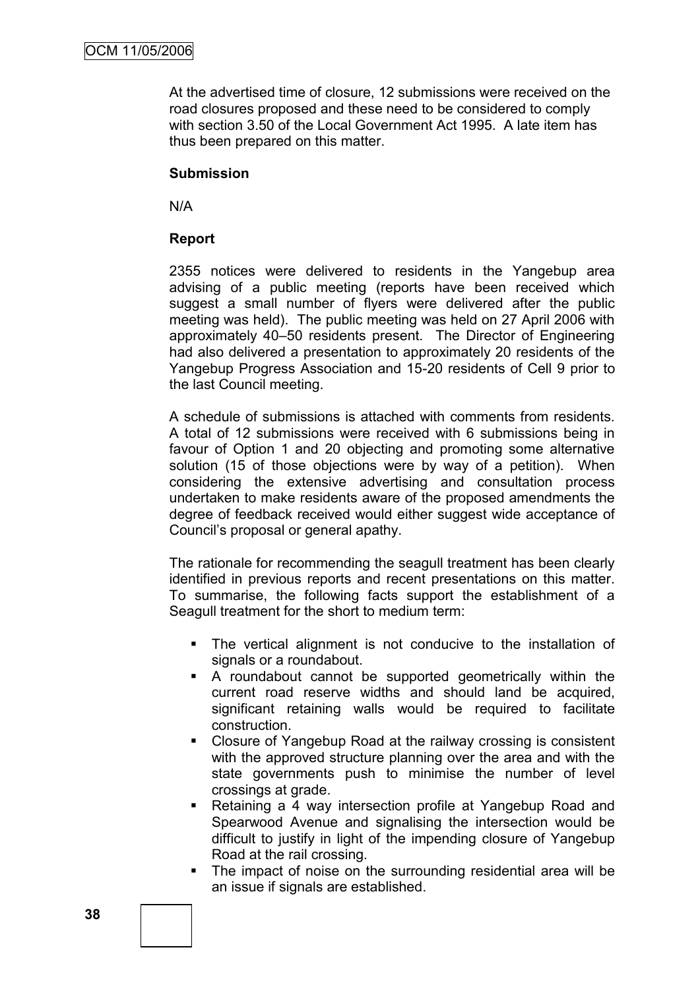At the advertised time of closure, 12 submissions were received on the road closures proposed and these need to be considered to comply with section 3.50 of the Local Government Act 1995. A late item has thus been prepared on this matter.

# **Submission**

N/A

# **Report**

2355 notices were delivered to residents in the Yangebup area advising of a public meeting (reports have been received which suggest a small number of flyers were delivered after the public meeting was held). The public meeting was held on 27 April 2006 with approximately 40–50 residents present. The Director of Engineering had also delivered a presentation to approximately 20 residents of the Yangebup Progress Association and 15-20 residents of Cell 9 prior to the last Council meeting.

A schedule of submissions is attached with comments from residents. A total of 12 submissions were received with 6 submissions being in favour of Option 1 and 20 objecting and promoting some alternative solution (15 of those objections were by way of a petition). When considering the extensive advertising and consultation process undertaken to make residents aware of the proposed amendments the degree of feedback received would either suggest wide acceptance of Council's proposal or general apathy.

The rationale for recommending the seagull treatment has been clearly identified in previous reports and recent presentations on this matter. To summarise, the following facts support the establishment of a Seagull treatment for the short to medium term:

- The vertical alignment is not conducive to the installation of signals or a roundabout.
- A roundabout cannot be supported geometrically within the current road reserve widths and should land be acquired, significant retaining walls would be required to facilitate construction.
- Closure of Yangebup Road at the railway crossing is consistent with the approved structure planning over the area and with the state governments push to minimise the number of level crossings at grade.
- Retaining a 4 way intersection profile at Yangebup Road and Spearwood Avenue and signalising the intersection would be difficult to justify in light of the impending closure of Yangebup Road at the rail crossing.
- The impact of noise on the surrounding residential area will be an issue if signals are established.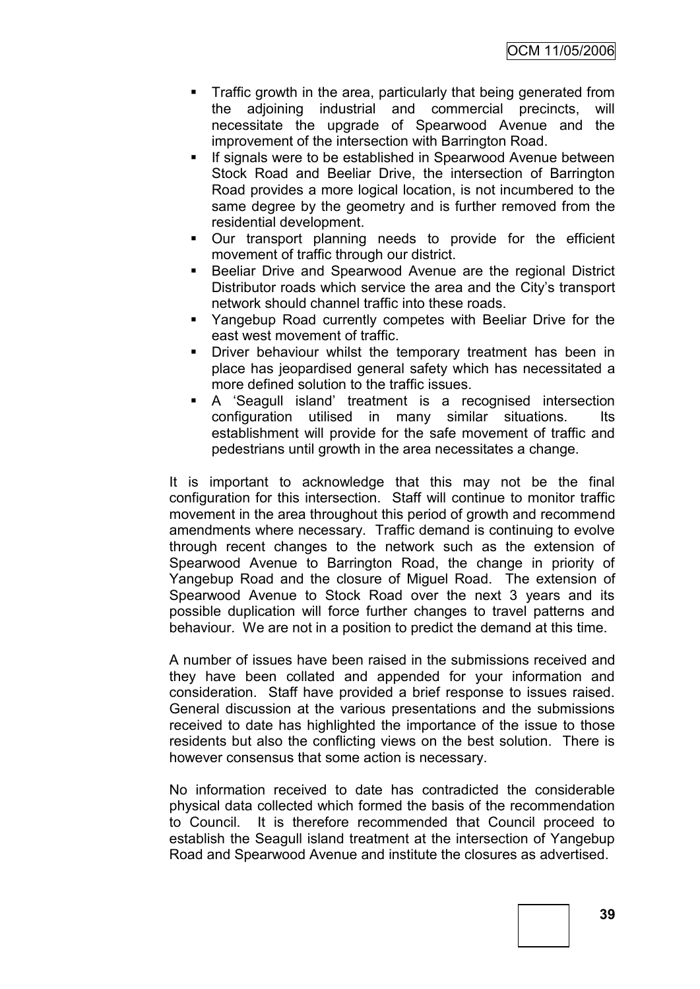- **Traffic growth in the area, particularly that being generated from** the adjoining industrial and commercial precincts, will necessitate the upgrade of Spearwood Avenue and the improvement of the intersection with Barrington Road.
- **If signals were to be established in Spearwood Avenue between** Stock Road and Beeliar Drive, the intersection of Barrington Road provides a more logical location, is not incumbered to the same degree by the geometry and is further removed from the residential development.
- Our transport planning needs to provide for the efficient movement of traffic through our district.
- Beeliar Drive and Spearwood Avenue are the regional District Distributor roads which service the area and the City's transport network should channel traffic into these roads.
- Yangebup Road currently competes with Beeliar Drive for the east west movement of traffic.
- **•** Driver behaviour whilst the temporary treatment has been in place has jeopardised general safety which has necessitated a more defined solution to the traffic issues.
- A 'Seagull island' treatment is a recognised intersection configuration utilised in many similar situations. Its establishment will provide for the safe movement of traffic and pedestrians until growth in the area necessitates a change.

It is important to acknowledge that this may not be the final configuration for this intersection. Staff will continue to monitor traffic movement in the area throughout this period of growth and recommend amendments where necessary. Traffic demand is continuing to evolve through recent changes to the network such as the extension of Spearwood Avenue to Barrington Road, the change in priority of Yangebup Road and the closure of Miguel Road. The extension of Spearwood Avenue to Stock Road over the next 3 years and its possible duplication will force further changes to travel patterns and behaviour. We are not in a position to predict the demand at this time.

A number of issues have been raised in the submissions received and they have been collated and appended for your information and consideration. Staff have provided a brief response to issues raised. General discussion at the various presentations and the submissions received to date has highlighted the importance of the issue to those residents but also the conflicting views on the best solution. There is however consensus that some action is necessary.

No information received to date has contradicted the considerable physical data collected which formed the basis of the recommendation to Council. It is therefore recommended that Council proceed to establish the Seagull island treatment at the intersection of Yangebup Road and Spearwood Avenue and institute the closures as advertised.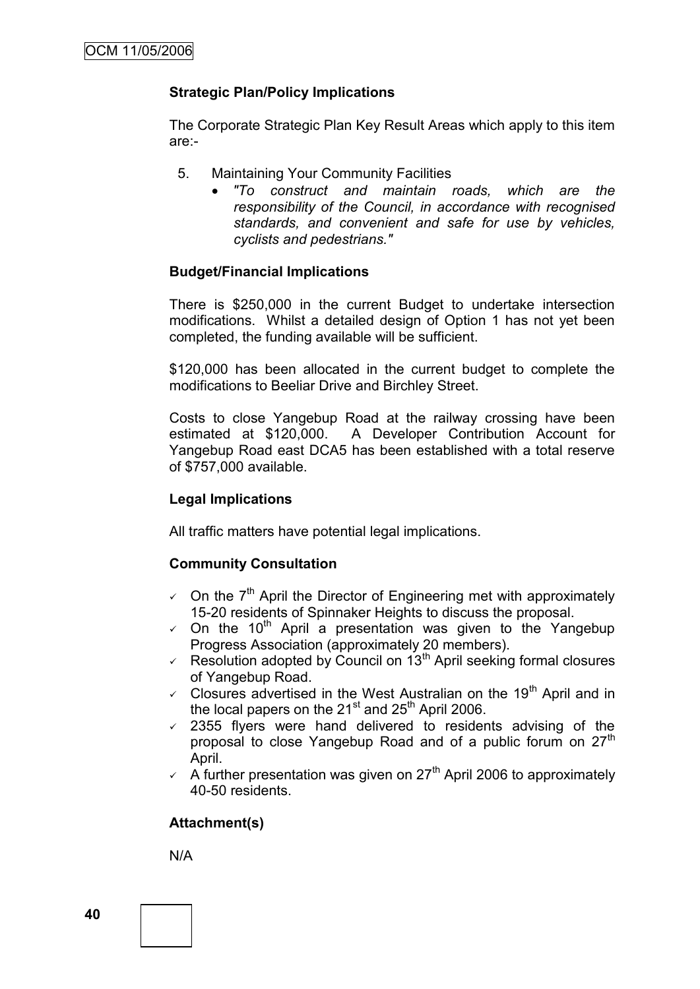# **Strategic Plan/Policy Implications**

The Corporate Strategic Plan Key Result Areas which apply to this item are:-

- 5. Maintaining Your Community Facilities
	- *"To construct and maintain roads, which are the responsibility of the Council, in accordance with recognised standards, and convenient and safe for use by vehicles, cyclists and pedestrians."*

### **Budget/Financial Implications**

There is \$250,000 in the current Budget to undertake intersection modifications. Whilst a detailed design of Option 1 has not yet been completed, the funding available will be sufficient.

\$120,000 has been allocated in the current budget to complete the modifications to Beeliar Drive and Birchley Street.

Costs to close Yangebup Road at the railway crossing have been estimated at \$120,000. A Developer Contribution Account for Yangebup Road east DCA5 has been established with a total reserve of \$757,000 available.

#### **Legal Implications**

All traffic matters have potential legal implications.

#### **Community Consultation**

- $\sim$  On the 7<sup>th</sup> April the Director of Engineering met with approximately 15-20 residents of Spinnaker Heights to discuss the proposal.
- $\sim$  On the 10<sup>th</sup> April a presentation was given to the Yangebup Progress Association (approximately 20 members).
- Resolution adopted by Council on  $13<sup>th</sup>$  April seeking formal closures of Yangebup Road.
- $\checkmark$  Closures advertised in the West Australian on the 19<sup>th</sup> April and in the local papers on the  $21<sup>st</sup>$  and  $25<sup>th</sup>$  April 2006.
- $\overline{2355}$  flyers were hand delivered to residents advising of the proposal to close Yangebup Road and of a public forum on 27<sup>th</sup> April.
- $\sim$  A further presentation was given on 27<sup>th</sup> April 2006 to approximately 40-50 residents.

#### **Attachment(s)**

N/A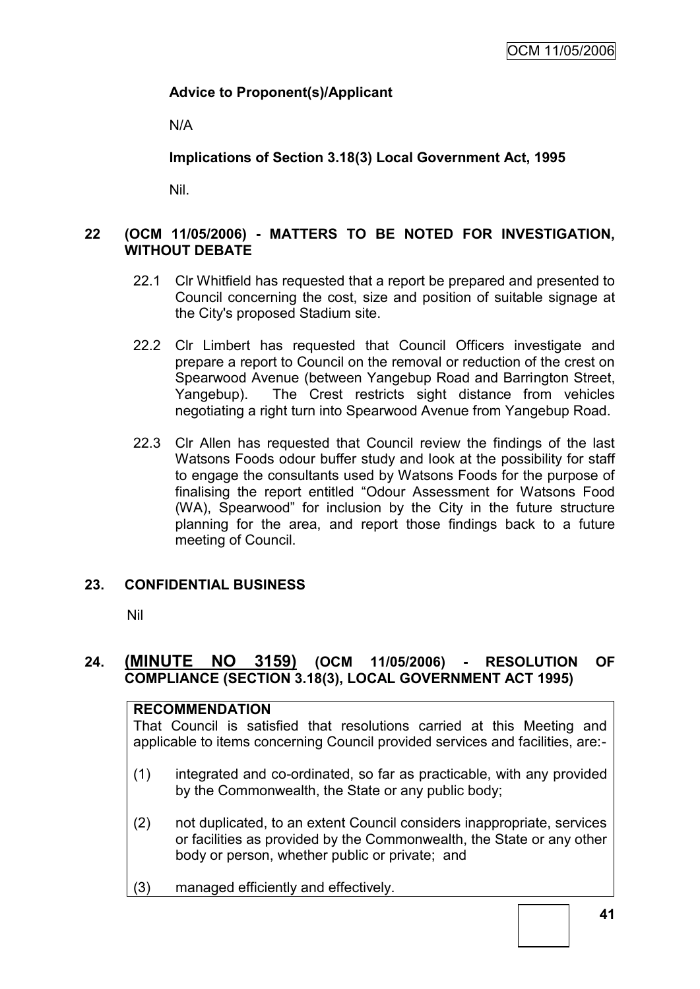# **Advice to Proponent(s)/Applicant**

N/A

**Implications of Section 3.18(3) Local Government Act, 1995**

Nil.

# **22 (OCM 11/05/2006) - MATTERS TO BE NOTED FOR INVESTIGATION, WITHOUT DEBATE**

- 22.1 Clr Whitfield has requested that a report be prepared and presented to Council concerning the cost, size and position of suitable signage at the City's proposed Stadium site.
- 22.2 Clr Limbert has requested that Council Officers investigate and prepare a report to Council on the removal or reduction of the crest on Spearwood Avenue (between Yangebup Road and Barrington Street, Yangebup). The Crest restricts sight distance from vehicles negotiating a right turn into Spearwood Avenue from Yangebup Road.
- 22.3 Clr Allen has requested that Council review the findings of the last Watsons Foods odour buffer study and look at the possibility for staff to engage the consultants used by Watsons Foods for the purpose of finalising the report entitled "Odour Assessment for Watsons Food (WA), Spearwood" for inclusion by the City in the future structure planning for the area, and report those findings back to a future meeting of Council.

# **23. CONFIDENTIAL BUSINESS**

Nil

# **24. (MINUTE NO 3159) (OCM 11/05/2006) - RESOLUTION OF COMPLIANCE (SECTION 3.18(3), LOCAL GOVERNMENT ACT 1995)**

| <b>RECOMMENDATION</b><br>That Council is satisfied that resolutions carried at this Meeting and<br>applicable to items concerning Council provided services and facilities, are:- |                                                                                                                                                                                                   |  |  |  |  |  |  |
|-----------------------------------------------------------------------------------------------------------------------------------------------------------------------------------|---------------------------------------------------------------------------------------------------------------------------------------------------------------------------------------------------|--|--|--|--|--|--|
| (1)                                                                                                                                                                               | integrated and co-ordinated, so far as practicable, with any provided<br>by the Commonwealth, the State or any public body;                                                                       |  |  |  |  |  |  |
| (2)                                                                                                                                                                               | not duplicated, to an extent Council considers inappropriate, services<br>or facilities as provided by the Commonwealth, the State or any other<br>body or person, whether public or private; and |  |  |  |  |  |  |
| (3)                                                                                                                                                                               | managed efficiently and effectively.                                                                                                                                                              |  |  |  |  |  |  |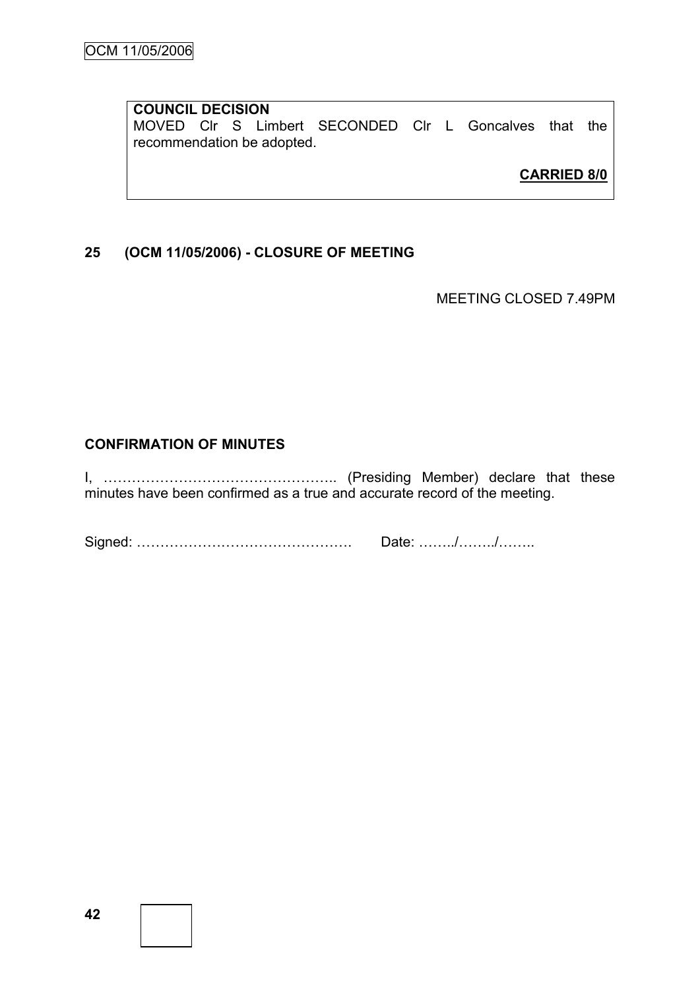# **COUNCIL DECISION** MOVED Clr S Limbert SECONDED Clr L Goncalves that the recommendation be adopted.

**CARRIED 8/0**

# **25 (OCM 11/05/2006) - CLOSURE OF MEETING**

MEETING CLOSED 7.49PM

# **CONFIRMATION OF MINUTES**

I, ………………………………………….. (Presiding Member) declare that these minutes have been confirmed as a true and accurate record of the meeting.

Signed: ………………………………………. Date: ……../……../……..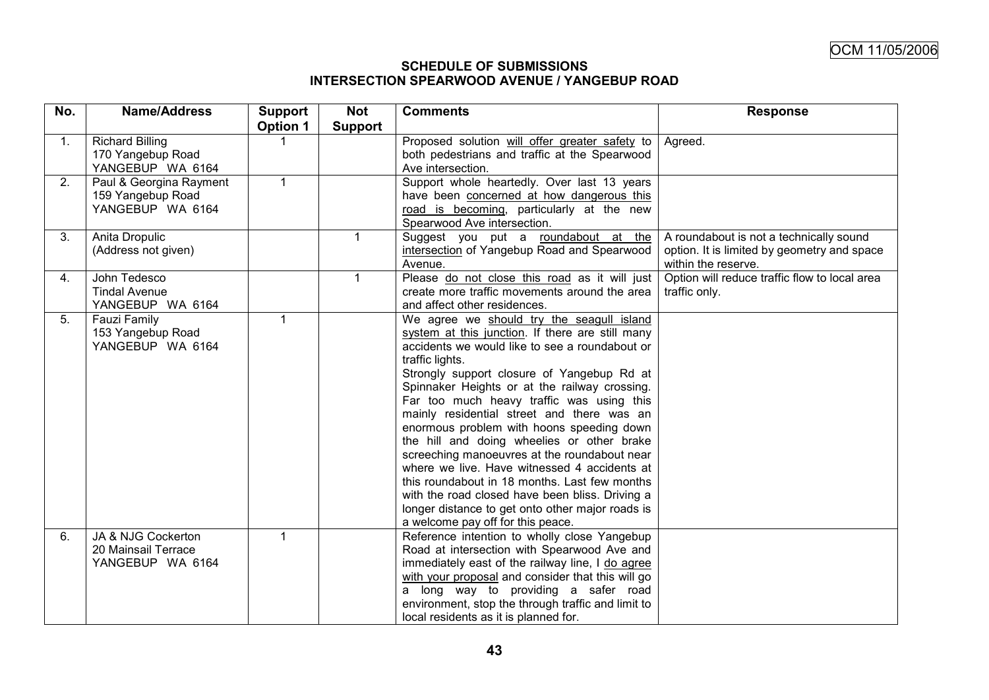#### **SCHEDULE OF SUBMISSIONS INTERSECTION SPEARWOOD AVENUE / YANGEBUP ROAD**

| No. | <b>Name/Address</b>     | <b>Support</b>  | <b>Not</b>     | <b>Comments</b>                                    | <b>Response</b>                               |
|-----|-------------------------|-----------------|----------------|----------------------------------------------------|-----------------------------------------------|
|     |                         | <b>Option 1</b> | <b>Support</b> |                                                    |                                               |
| 1.  | <b>Richard Billing</b>  |                 |                | Proposed solution will offer greater safety to     | Agreed.                                       |
|     | 170 Yangebup Road       |                 |                | both pedestrians and traffic at the Spearwood      |                                               |
|     | YANGEBUP WA 6164        |                 |                | Ave intersection.                                  |                                               |
| 2.  | Paul & Georgina Rayment | $\mathbf 1$     |                | Support whole heartedly. Over last 13 years        |                                               |
|     | 159 Yangebup Road       |                 |                | have been concerned at how dangerous this          |                                               |
|     | YANGEBUP WA 6164        |                 |                | road is becoming, particularly at the new          |                                               |
|     |                         |                 |                | Spearwood Ave intersection.                        |                                               |
| 3.  | Anita Dropulic          |                 | $\mathbf{1}$   | Suggest you put a roundabout at the                | A roundabout is not a technically sound       |
|     | (Address not given)     |                 |                | intersection of Yangebup Road and Spearwood        | option. It is limited by geometry and space   |
|     |                         |                 |                | Avenue.                                            | within the reserve.                           |
| 4.  | John Tedesco            |                 | $\mathbf{1}$   | Please do not close this road as it will just      | Option will reduce traffic flow to local area |
|     | <b>Tindal Avenue</b>    |                 |                | create more traffic movements around the area      | traffic only.                                 |
|     | YANGEBUP WA 6164        |                 |                | and affect other residences.                       |                                               |
| 5.  | <b>Fauzi Family</b>     |                 |                | We agree we should try the seagull island          |                                               |
|     | 153 Yangebup Road       |                 |                | system at this junction. If there are still many   |                                               |
|     | YANGEBUP WA 6164        |                 |                | accidents we would like to see a roundabout or     |                                               |
|     |                         |                 |                | traffic lights.                                    |                                               |
|     |                         |                 |                | Strongly support closure of Yangebup Rd at         |                                               |
|     |                         |                 |                | Spinnaker Heights or at the railway crossing.      |                                               |
|     |                         |                 |                | Far too much heavy traffic was using this          |                                               |
|     |                         |                 |                | mainly residential street and there was an         |                                               |
|     |                         |                 |                | enormous problem with hoons speeding down          |                                               |
|     |                         |                 |                | the hill and doing wheelies or other brake         |                                               |
|     |                         |                 |                | screeching manoeuvres at the roundabout near       |                                               |
|     |                         |                 |                | where we live. Have witnessed 4 accidents at       |                                               |
|     |                         |                 |                | this roundabout in 18 months. Last few months      |                                               |
|     |                         |                 |                | with the road closed have been bliss. Driving a    |                                               |
|     |                         |                 |                | longer distance to get onto other major roads is   |                                               |
|     |                         |                 |                | a welcome pay off for this peace.                  |                                               |
| 6.  | JA & NJG Cockerton      |                 |                | Reference intention to wholly close Yangebup       |                                               |
|     | 20 Mainsail Terrace     |                 |                | Road at intersection with Spearwood Ave and        |                                               |
|     | YANGEBUP WA 6164        |                 |                | immediately east of the railway line, I do agree   |                                               |
|     |                         |                 |                | with your proposal and consider that this will go  |                                               |
|     |                         |                 |                | a long way to providing a safer road               |                                               |
|     |                         |                 |                | environment, stop the through traffic and limit to |                                               |
|     |                         |                 |                | local residents as it is planned for.              |                                               |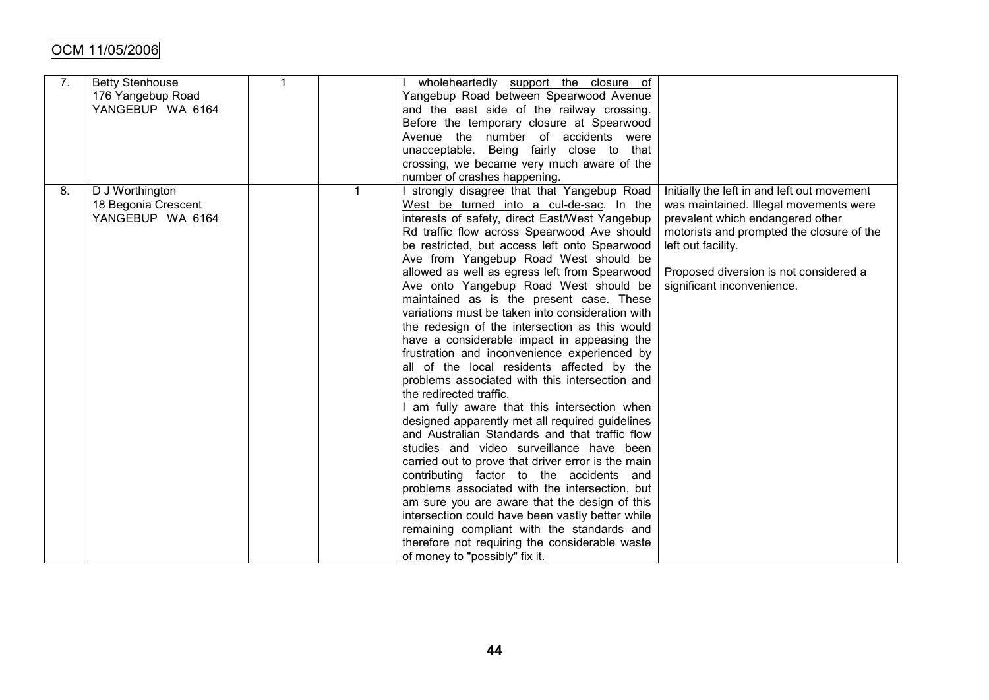| 7. | <b>Betty Stenhouse</b><br>176 Yangebup Road<br>YANGEBUP WA 6164 | $\mathbf{1}$ | wholeheartedly support the closure of<br>Yangebup Road between Spearwood Avenue<br>and the east side of the railway crossing.<br>Before the temporary closure at Spearwood<br>Avenue the number of accidents were<br>unacceptable. Being fairly close to that<br>crossing, we became very much aware of the<br>number of crashes happening.                                                                                                                                                                                                                                                                                                                                                                                                                                                                                                                                                                                                                                                                                                                                                                                                                                                                                                                                                                                                          |                                                                                                                                                                                                                                                                      |
|----|-----------------------------------------------------------------|--------------|------------------------------------------------------------------------------------------------------------------------------------------------------------------------------------------------------------------------------------------------------------------------------------------------------------------------------------------------------------------------------------------------------------------------------------------------------------------------------------------------------------------------------------------------------------------------------------------------------------------------------------------------------------------------------------------------------------------------------------------------------------------------------------------------------------------------------------------------------------------------------------------------------------------------------------------------------------------------------------------------------------------------------------------------------------------------------------------------------------------------------------------------------------------------------------------------------------------------------------------------------------------------------------------------------------------------------------------------------|----------------------------------------------------------------------------------------------------------------------------------------------------------------------------------------------------------------------------------------------------------------------|
| 8. | D J Worthington<br>18 Begonia Crescent<br>YANGEBUP WA 6164      |              | I strongly disagree that that Yangebup Road<br>West be turned into a cul-de-sac. In the<br>interests of safety, direct East/West Yangebup<br>Rd traffic flow across Spearwood Ave should<br>be restricted, but access left onto Spearwood<br>Ave from Yangebup Road West should be<br>allowed as well as egress left from Spearwood<br>Ave onto Yangebup Road West should be<br>maintained as is the present case. These<br>variations must be taken into consideration with<br>the redesign of the intersection as this would<br>have a considerable impact in appeasing the<br>frustration and inconvenience experienced by<br>all of the local residents affected by the<br>problems associated with this intersection and<br>the redirected traffic.<br>I am fully aware that this intersection when<br>designed apparently met all required guidelines<br>and Australian Standards and that traffic flow<br>studies and video surveillance have been<br>carried out to prove that driver error is the main<br>contributing factor to the accidents and<br>problems associated with the intersection, but<br>am sure you are aware that the design of this<br>intersection could have been vastly better while<br>remaining compliant with the standards and<br>therefore not requiring the considerable waste<br>of money to "possibly" fix it. | Initially the left in and left out movement<br>was maintained. Illegal movements were<br>prevalent which endangered other<br>motorists and prompted the closure of the<br>left out facility.<br>Proposed diversion is not considered a<br>significant inconvenience. |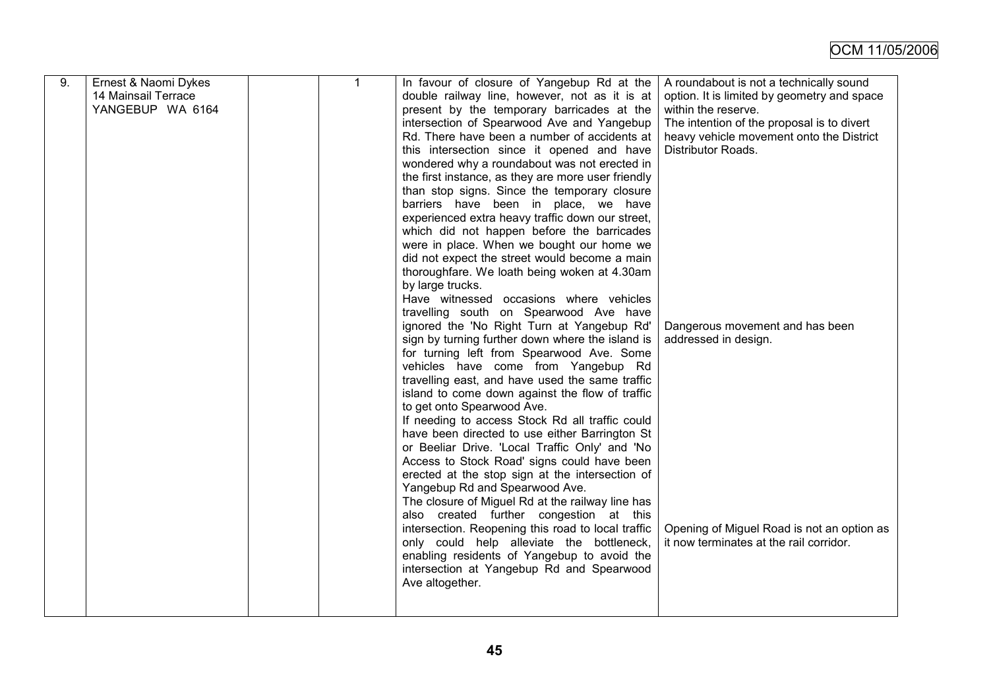| 9. | Ernest & Naomi Dykes<br>14 Mainsail Terrace<br>YANGEBUP WA 6164 | $\mathbf{1}$ | In favour of closure of Yangebup Rd at the<br>double railway line, however, not as it is at<br>present by the temporary barricades at the<br>intersection of Spearwood Ave and Yangebup<br>Rd. There have been a number of accidents at<br>this intersection since it opened and have<br>wondered why a roundabout was not erected in<br>the first instance, as they are more user friendly<br>than stop signs. Since the temporary closure<br>barriers have been in place, we have<br>experienced extra heavy traffic down our street,<br>which did not happen before the barricades<br>were in place. When we bought our home we<br>did not expect the street would become a main<br>thoroughfare. We loath being woken at 4.30am<br>by large trucks.<br>Have witnessed occasions where vehicles<br>travelling south on Spearwood Ave have<br>ignored the 'No Right Turn at Yangebup Rd'<br>sign by turning further down where the island is<br>for turning left from Spearwood Ave. Some<br>vehicles have come from Yangebup Rd | A roundabout is not a technically sound<br>option. It is limited by geometry and space<br>within the reserve.<br>The intention of the proposal is to divert<br>heavy vehicle movement onto the District<br>Distributor Roads.<br>Dangerous movement and has been<br>addressed in design. |
|----|-----------------------------------------------------------------|--------------|------------------------------------------------------------------------------------------------------------------------------------------------------------------------------------------------------------------------------------------------------------------------------------------------------------------------------------------------------------------------------------------------------------------------------------------------------------------------------------------------------------------------------------------------------------------------------------------------------------------------------------------------------------------------------------------------------------------------------------------------------------------------------------------------------------------------------------------------------------------------------------------------------------------------------------------------------------------------------------------------------------------------------------|------------------------------------------------------------------------------------------------------------------------------------------------------------------------------------------------------------------------------------------------------------------------------------------|
|    |                                                                 |              | travelling east, and have used the same traffic<br>island to come down against the flow of traffic<br>to get onto Spearwood Ave.<br>If needing to access Stock Rd all traffic could<br>have been directed to use either Barrington St<br>or Beeliar Drive. 'Local Traffic Only' and 'No<br>Access to Stock Road' signs could have been<br>erected at the stop sign at the intersection of<br>Yangebup Rd and Spearwood Ave.<br>The closure of Miguel Rd at the railway line has<br>also created further congestion at this<br>intersection. Reopening this road to local traffic<br>only could help alleviate the bottleneck,<br>enabling residents of Yangebup to avoid the<br>intersection at Yangebup Rd and Spearwood<br>Ave altogether.                                                                                                                                                                                                                                                                                       | Opening of Miguel Road is not an option as<br>it now terminates at the rail corridor.                                                                                                                                                                                                    |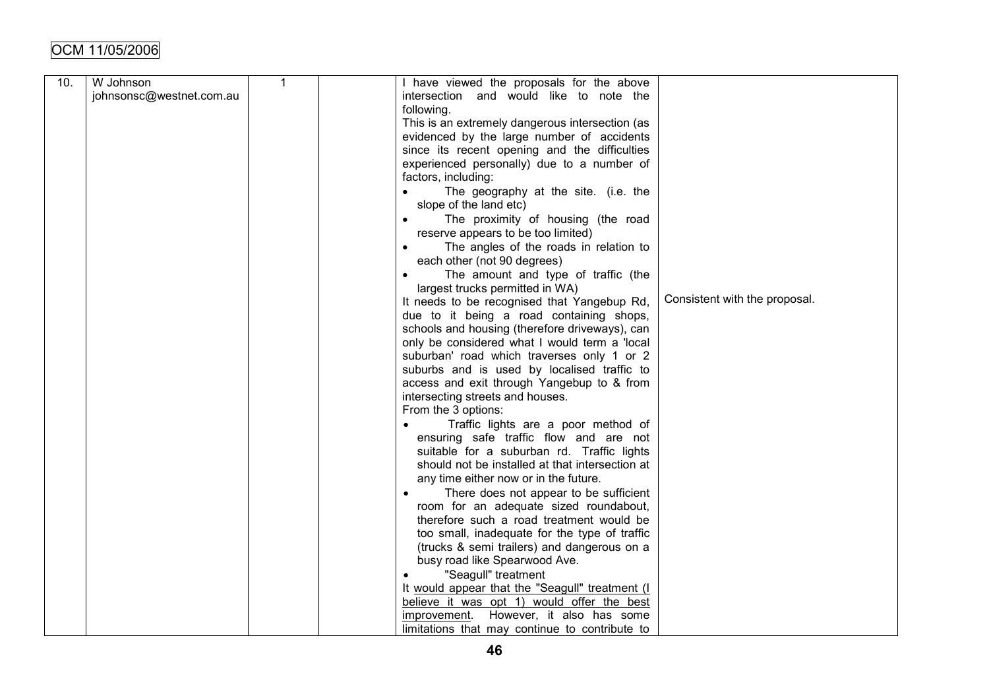| 10. | W Johnson                | $\mathbf{1}$ | I have viewed the proposals for the above           |                               |
|-----|--------------------------|--------------|-----------------------------------------------------|-------------------------------|
|     | johnsonsc@westnet.com.au |              | intersection and would like to note the             |                               |
|     |                          |              |                                                     |                               |
|     |                          |              | following.                                          |                               |
|     |                          |              | This is an extremely dangerous intersection (as     |                               |
|     |                          |              | evidenced by the large number of accidents          |                               |
|     |                          |              | since its recent opening and the difficulties       |                               |
|     |                          |              | experienced personally) due to a number of          |                               |
|     |                          |              | factors, including:                                 |                               |
|     |                          |              | The geography at the site. (i.e. the                |                               |
|     |                          |              | slope of the land etc)                              |                               |
|     |                          |              | The proximity of housing (the road<br>$\bullet$     |                               |
|     |                          |              | reserve appears to be too limited)                  |                               |
|     |                          |              | The angles of the roads in relation to<br>$\bullet$ |                               |
|     |                          |              | each other (not 90 degrees)                         |                               |
|     |                          |              | The amount and type of traffic (the                 |                               |
|     |                          |              | largest trucks permitted in WA)                     |                               |
|     |                          |              | It needs to be recognised that Yangebup Rd,         | Consistent with the proposal. |
|     |                          |              | due to it being a road containing shops,            |                               |
|     |                          |              | schools and housing (therefore driveways), can      |                               |
|     |                          |              | only be considered what I would term a 'local       |                               |
|     |                          |              | suburban' road which traverses only 1 or 2          |                               |
|     |                          |              | suburbs and is used by localised traffic to         |                               |
|     |                          |              | access and exit through Yangebup to & from          |                               |
|     |                          |              | intersecting streets and houses.                    |                               |
|     |                          |              | From the 3 options:                                 |                               |
|     |                          |              | Traffic lights are a poor method of                 |                               |
|     |                          |              | ensuring safe traffic flow and are not              |                               |
|     |                          |              | suitable for a suburban rd. Traffic lights          |                               |
|     |                          |              |                                                     |                               |
|     |                          |              | should not be installed at that intersection at     |                               |
|     |                          |              | any time either now or in the future.               |                               |
|     |                          |              | There does not appear to be sufficient              |                               |
|     |                          |              | room for an adequate sized roundabout,              |                               |
|     |                          |              | therefore such a road treatment would be            |                               |
|     |                          |              | too small, inadequate for the type of traffic       |                               |
|     |                          |              | (trucks & semi trailers) and dangerous on a         |                               |
|     |                          |              | busy road like Spearwood Ave.                       |                               |
|     |                          |              | "Seagull" treatment                                 |                               |
|     |                          |              | It would appear that the "Seagull" treatment (I     |                               |
|     |                          |              | believe it was opt 1) would offer the best          |                               |
|     |                          |              | However, it also has some<br>improvement.           |                               |
|     |                          |              | limitations that may continue to contribute to      |                               |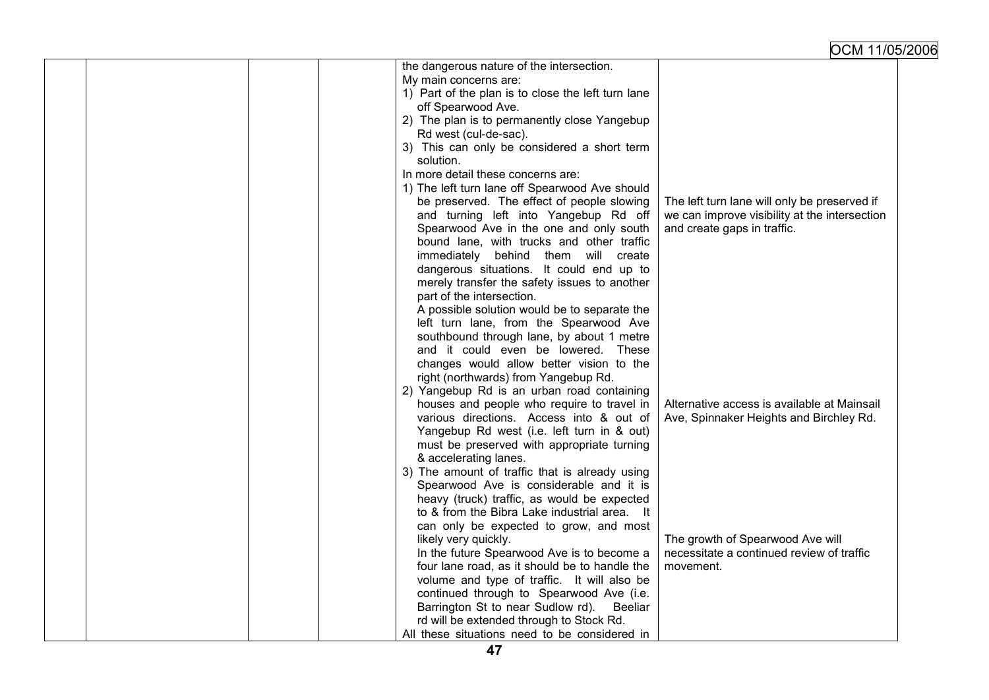|  | the dangerous nature of the intersection.          |                                               |
|--|----------------------------------------------------|-----------------------------------------------|
|  | My main concerns are:                              |                                               |
|  | 1) Part of the plan is to close the left turn lane |                                               |
|  | off Spearwood Ave.                                 |                                               |
|  | 2) The plan is to permanently close Yangebup       |                                               |
|  | Rd west (cul-de-sac).                              |                                               |
|  | 3) This can only be considered a short term        |                                               |
|  | solution.                                          |                                               |
|  | In more detail these concerns are:                 |                                               |
|  | 1) The left turn lane off Spearwood Ave should     |                                               |
|  | be preserved. The effect of people slowing         | The left turn lane will only be preserved if  |
|  | and turning left into Yangebup Rd off              | we can improve visibility at the intersection |
|  | Spearwood Ave in the one and only south            | and create gaps in traffic.                   |
|  | bound lane, with trucks and other traffic          |                                               |
|  | immediately behind them will create                |                                               |
|  | dangerous situations. It could end up to           |                                               |
|  | merely transfer the safety issues to another       |                                               |
|  | part of the intersection.                          |                                               |
|  | A possible solution would be to separate the       |                                               |
|  | left turn lane, from the Spearwood Ave             |                                               |
|  | southbound through lane, by about 1 metre          |                                               |
|  | and it could even be lowered. These                |                                               |
|  | changes would allow better vision to the           |                                               |
|  | right (northwards) from Yangebup Rd.               |                                               |
|  | 2) Yangebup Rd is an urban road containing         |                                               |
|  | houses and people who require to travel in         | Alternative access is available at Mainsail   |
|  | various directions. Access into & out of           | Ave, Spinnaker Heights and Birchley Rd.       |
|  | Yangebup Rd west (i.e. left turn in & out)         |                                               |
|  | must be preserved with appropriate turning         |                                               |
|  | & accelerating lanes.                              |                                               |
|  | 3) The amount of traffic that is already using     |                                               |
|  | Spearwood Ave is considerable and it is            |                                               |
|  | heavy (truck) traffic, as would be expected        |                                               |
|  | to & from the Bibra Lake industrial area. It       |                                               |
|  | can only be expected to grow, and most             |                                               |
|  | likely very quickly.                               | The growth of Spearwood Ave will              |
|  | In the future Spearwood Ave is to become a         | necessitate a continued review of traffic     |
|  | four lane road, as it should be to handle the      | movement.                                     |
|  | volume and type of traffic. It will also be        |                                               |
|  | continued through to Spearwood Ave (i.e.           |                                               |
|  | Barrington St to near Sudlow rd).<br>Beeliar       |                                               |
|  | rd will be extended through to Stock Rd.           |                                               |
|  | All these situations need to be considered in      |                                               |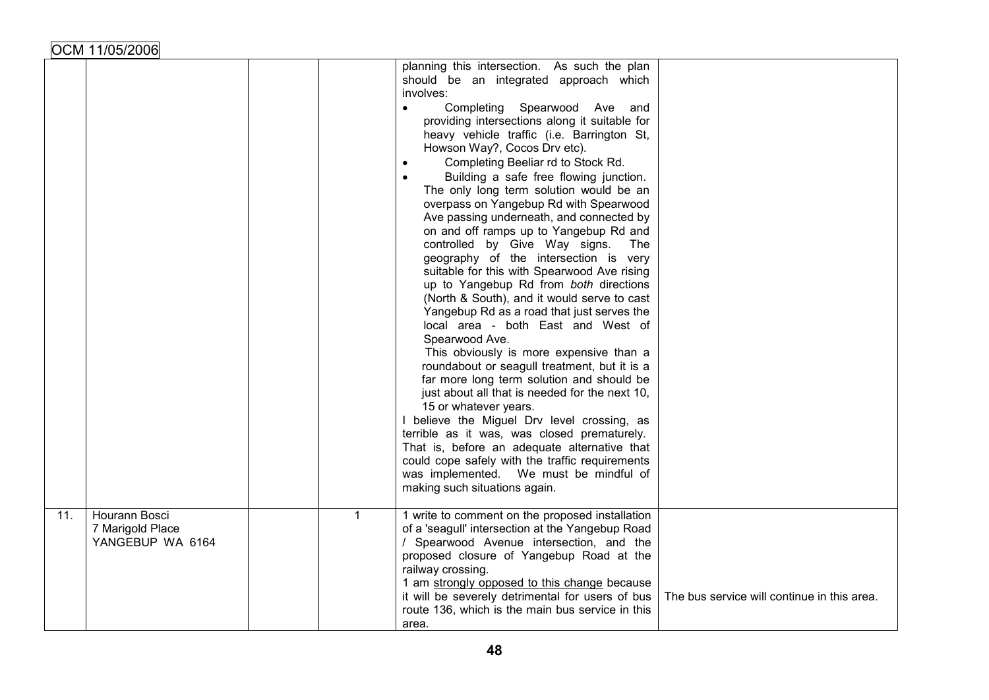|     |                                                       |              | planning this intersection. As such the plan<br>should be an integrated approach which<br>involves:<br>Completing Spearwood Ave<br>$\bullet$<br>and<br>providing intersections along it suitable for<br>heavy vehicle traffic (i.e. Barrington St,<br>Howson Way?, Cocos Drv etc).<br>Completing Beeliar rd to Stock Rd.<br>$\bullet$<br>Building a safe free flowing junction.<br>$\bullet$<br>The only long term solution would be an<br>overpass on Yangebup Rd with Spearwood<br>Ave passing underneath, and connected by<br>on and off ramps up to Yangebup Rd and<br>controlled by Give Way signs.<br>The<br>geography of the intersection is very<br>suitable for this with Spearwood Ave rising<br>up to Yangebup Rd from both directions<br>(North & South), and it would serve to cast<br>Yangebup Rd as a road that just serves the<br>local area - both East and West of<br>Spearwood Ave.<br>This obviously is more expensive than a<br>roundabout or seagull treatment, but it is a<br>far more long term solution and should be<br>just about all that is needed for the next 10,<br>15 or whatever years.<br>I believe the Miguel Drv level crossing, as<br>terrible as it was, was closed prematurely.<br>That is, before an adequate alternative that<br>could cope safely with the traffic requirements<br>was implemented. We must be mindful of<br>making such situations again. |                                             |
|-----|-------------------------------------------------------|--------------|-------------------------------------------------------------------------------------------------------------------------------------------------------------------------------------------------------------------------------------------------------------------------------------------------------------------------------------------------------------------------------------------------------------------------------------------------------------------------------------------------------------------------------------------------------------------------------------------------------------------------------------------------------------------------------------------------------------------------------------------------------------------------------------------------------------------------------------------------------------------------------------------------------------------------------------------------------------------------------------------------------------------------------------------------------------------------------------------------------------------------------------------------------------------------------------------------------------------------------------------------------------------------------------------------------------------------------------------------------------------------------------------------------|---------------------------------------------|
| 11. | Hourann Bosci<br>7 Marigold Place<br>YANGEBUP WA 6164 | $\mathbf{1}$ | 1 write to comment on the proposed installation<br>of a 'seagull' intersection at the Yangebup Road<br>/ Spearwood Avenue intersection, and the<br>proposed closure of Yangebup Road at the<br>railway crossing.<br>1 am strongly opposed to this change because<br>it will be severely detrimental for users of bus<br>route 136, which is the main bus service in this<br>area.                                                                                                                                                                                                                                                                                                                                                                                                                                                                                                                                                                                                                                                                                                                                                                                                                                                                                                                                                                                                                     | The bus service will continue in this area. |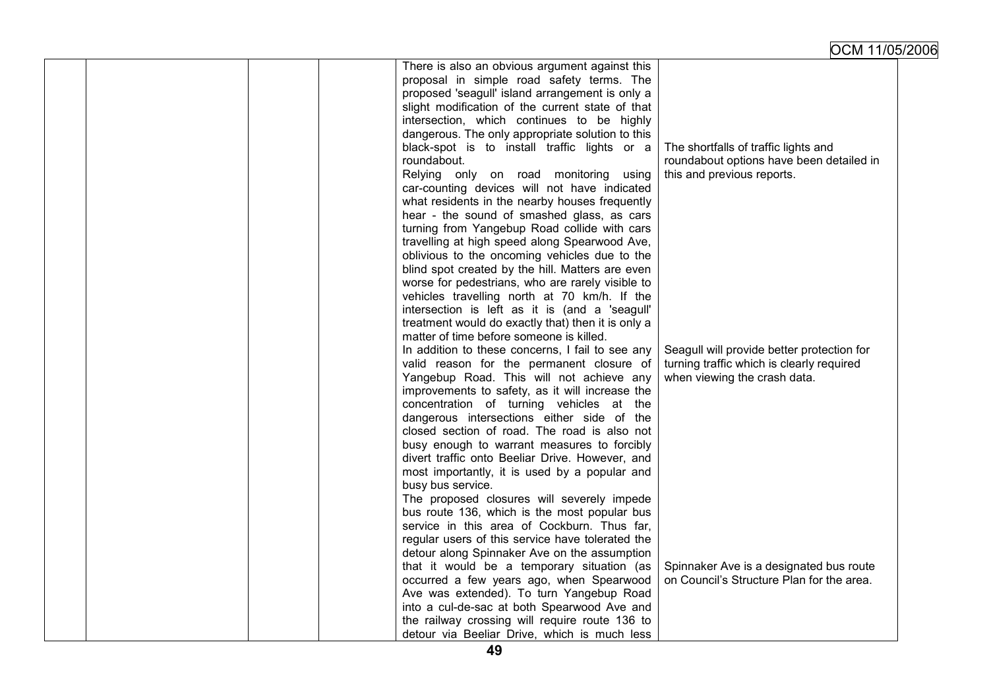|  |  | There is also an obvious argument against this     |                                            |
|--|--|----------------------------------------------------|--------------------------------------------|
|  |  | proposal in simple road safety terms. The          |                                            |
|  |  | proposed 'seagull' island arrangement is only a    |                                            |
|  |  | slight modification of the current state of that   |                                            |
|  |  | intersection, which continues to be highly         |                                            |
|  |  | dangerous. The only appropriate solution to this   |                                            |
|  |  | black-spot is to install traffic lights or a       | The shortfalls of traffic lights and       |
|  |  | roundabout.                                        | roundabout options have been detailed in   |
|  |  | Relying only on road monitoring<br>using           | this and previous reports.                 |
|  |  | car-counting devices will not have indicated       |                                            |
|  |  | what residents in the nearby houses frequently     |                                            |
|  |  |                                                    |                                            |
|  |  | hear - the sound of smashed glass, as cars         |                                            |
|  |  | turning from Yangebup Road collide with cars       |                                            |
|  |  | travelling at high speed along Spearwood Ave,      |                                            |
|  |  | oblivious to the oncoming vehicles due to the      |                                            |
|  |  | blind spot created by the hill. Matters are even   |                                            |
|  |  | worse for pedestrians, who are rarely visible to   |                                            |
|  |  | vehicles travelling north at 70 km/h. If the       |                                            |
|  |  | intersection is left as it is (and a 'seagull'     |                                            |
|  |  | treatment would do exactly that) then it is only a |                                            |
|  |  | matter of time before someone is killed.           |                                            |
|  |  | In addition to these concerns, I fail to see any   | Seagull will provide better protection for |
|  |  | valid reason for the permanent closure of          | turning traffic which is clearly required  |
|  |  | Yangebup Road. This will not achieve any           | when viewing the crash data.               |
|  |  | improvements to safety, as it will increase the    |                                            |
|  |  | concentration of turning vehicles at the           |                                            |
|  |  | dangerous intersections either side of the         |                                            |
|  |  | closed section of road. The road is also not       |                                            |
|  |  | busy enough to warrant measures to forcibly        |                                            |
|  |  | divert traffic onto Beeliar Drive. However, and    |                                            |
|  |  | most importantly, it is used by a popular and      |                                            |
|  |  | busy bus service.                                  |                                            |
|  |  | The proposed closures will severely impede         |                                            |
|  |  | bus route 136, which is the most popular bus       |                                            |
|  |  | service in this area of Cockburn. Thus far,        |                                            |
|  |  | regular users of this service have tolerated the   |                                            |
|  |  | detour along Spinnaker Ave on the assumption       |                                            |
|  |  | that it would be a temporary situation (as         | Spinnaker Ave is a designated bus route    |
|  |  | occurred a few years ago, when Spearwood           | on Council's Structure Plan for the area.  |
|  |  | Ave was extended). To turn Yangebup Road           |                                            |
|  |  | into a cul-de-sac at both Spearwood Ave and        |                                            |
|  |  | the railway crossing will require route 136 to     |                                            |
|  |  | detour via Beeliar Drive, which is much less       |                                            |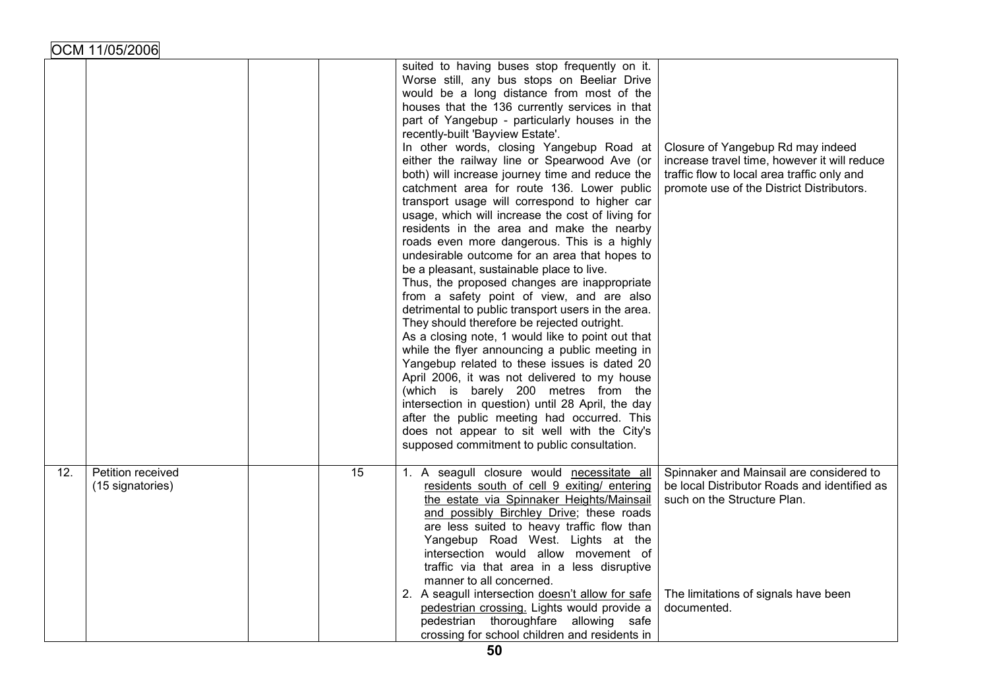|     |                                       |                 | suited to having buses stop frequently on it.<br>Worse still, any bus stops on Beeliar Drive<br>would be a long distance from most of the<br>houses that the 136 currently services in that<br>part of Yangebup - particularly houses in the<br>recently-built 'Bayview Estate'.<br>In other words, closing Yangebup Road at<br>either the railway line or Spearwood Ave (or<br>both) will increase journey time and reduce the<br>catchment area for route 136. Lower public<br>transport usage will correspond to higher car<br>usage, which will increase the cost of living for<br>residents in the area and make the nearby<br>roads even more dangerous. This is a highly<br>undesirable outcome for an area that hopes to<br>be a pleasant, sustainable place to live.<br>Thus, the proposed changes are inappropriate<br>from a safety point of view, and are also<br>detrimental to public transport users in the area.<br>They should therefore be rejected outright.<br>As a closing note, 1 would like to point out that<br>while the flyer announcing a public meeting in<br>Yangebup related to these issues is dated 20<br>April 2006, it was not delivered to my house<br>(which is barely 200 metres from the<br>intersection in question) until 28 April, the day<br>after the public meeting had occurred. This<br>does not appear to sit well with the City's<br>supposed commitment to public consultation. | Closure of Yangebup Rd may indeed<br>increase travel time, however it will reduce<br>traffic flow to local area traffic only and<br>promote use of the District Distributors.  |
|-----|---------------------------------------|-----------------|----------------------------------------------------------------------------------------------------------------------------------------------------------------------------------------------------------------------------------------------------------------------------------------------------------------------------------------------------------------------------------------------------------------------------------------------------------------------------------------------------------------------------------------------------------------------------------------------------------------------------------------------------------------------------------------------------------------------------------------------------------------------------------------------------------------------------------------------------------------------------------------------------------------------------------------------------------------------------------------------------------------------------------------------------------------------------------------------------------------------------------------------------------------------------------------------------------------------------------------------------------------------------------------------------------------------------------------------------------------------------------------------------------------------------------|--------------------------------------------------------------------------------------------------------------------------------------------------------------------------------|
| 12. | Petition received<br>(15 signatories) | $\overline{15}$ | 1. A seagull closure would necessitate all<br>residents south of cell 9 exiting/ entering<br>the estate via Spinnaker Heights/Mainsail<br>and possibly Birchley Drive; these roads<br>are less suited to heavy traffic flow than<br>Yangebup Road West. Lights at the<br>intersection would allow movement of<br>traffic via that area in a less disruptive<br>manner to all concerned.<br>2. A seagull intersection doesn't allow for safe<br>pedestrian crossing. Lights would provide a<br>pedestrian thoroughfare allowing safe<br>crossing for school children and residents in                                                                                                                                                                                                                                                                                                                                                                                                                                                                                                                                                                                                                                                                                                                                                                                                                                             | Spinnaker and Mainsail are considered to<br>be local Distributor Roads and identified as<br>such on the Structure Plan.<br>The limitations of signals have been<br>documented. |